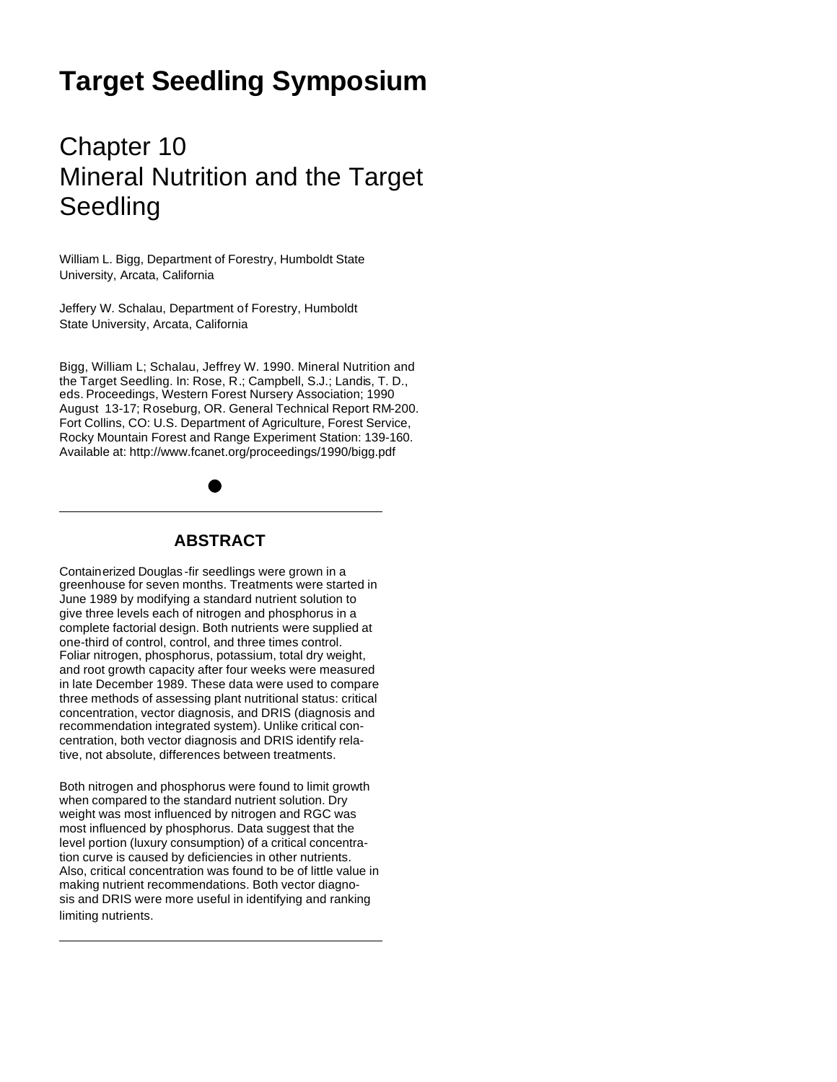# **Target Seedling Symposium**

# Chapter 10 Mineral Nutrition and the Target Seedling

William L. Bigg, Department of Forestry, Humboldt State University, Arcata, California

Jeffery W. Schalau, Department of Forestry, Humboldt State University, Arcata, California

Bigg, William L; Schalau, Jeffrey W. 1990. Mineral Nutrition and the Target Seedling. In: Rose, R.; Campbell, S.J.; Landis, T. D., eds. Proceedings, Western Forest Nursery Association; 1990 August 13-17; Roseburg, OR. General Technical Report RM-200. Fort Collins, CO: U.S. Department of Agriculture, Forest Service, Rocky Mountain Forest and Range Experiment Station: 139-160. Available at: http://www.fcanet.org/proceedings/1990/bigg.pdf

## **ABSTRACT**

Containerized Douglas -fir seedlings were grown in a greenhouse for seven months. Treatments were started in June 1989 by modifying a standard nutrient solution to give three levels each of nitrogen and phosphorus in a complete factorial design. Both nutrients were supplied at one-third of control, control, and three times control. Foliar nitrogen, phosphorus, potassium, total dry weight, and root growth capacity after four weeks were measured in late December 1989. These data were used to compare three methods of assessing plant nutritional status: critical concentration, vector diagnosis, and DRIS (diagnosis and recommendation integrated system). Unlike critical concentration, both vector diagnosis and DRIS identify relative, not absolute, differences between treatments.

Both nitrogen and phosphorus were found to limit growth when compared to the standard nutrient solution. Dry weight was most influenced by nitrogen and RGC was most influenced by phosphorus. Data suggest that the level portion (luxury consumption) of a critical concentration curve is caused by deficiencies in other nutrients. Also, critical concentration was found to be of little value in making nutrient recommendations. Both vector diagnosis and DRIS were more useful in identifying and ranking limiting nutrients.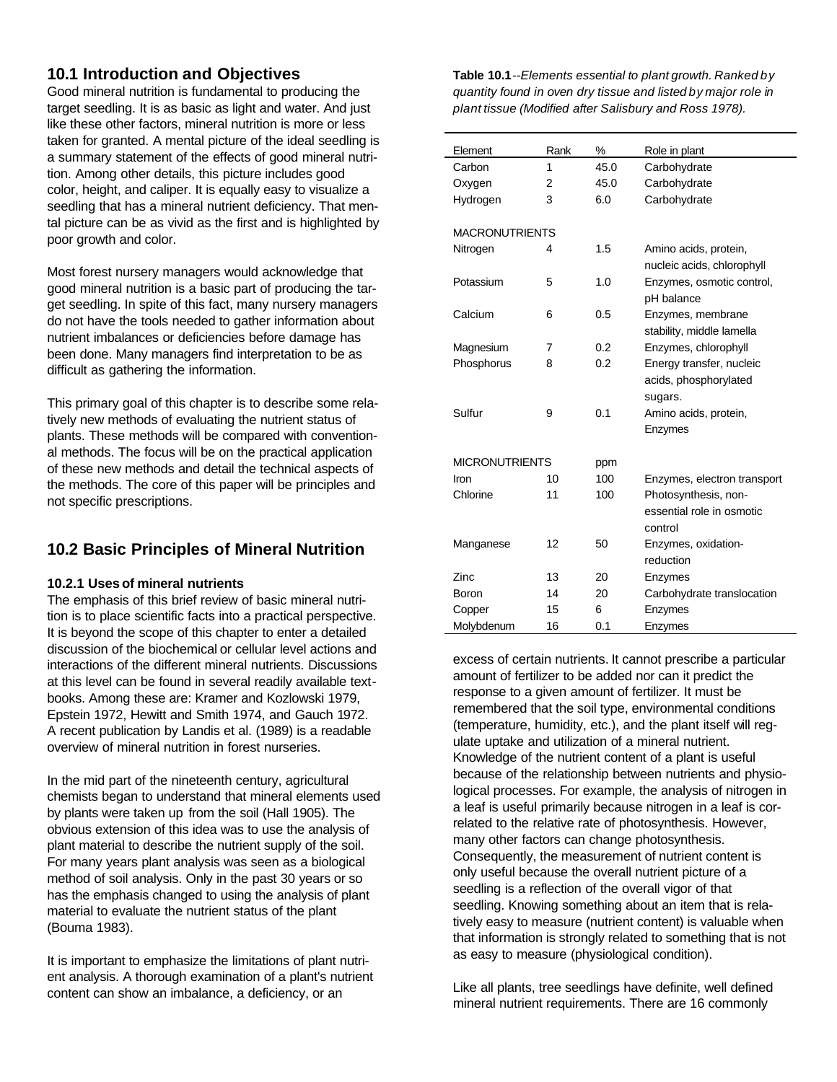## **10.1 Introduction and Objectives**

Good mineral nutrition is fundamental to producing the target seedling. It is as basic as light and water. And just like these other factors, mineral nutrition is more or less taken for granted. A mental picture of the ideal seedling is a summary statement of the effects of good mineral nutrition. Among other details, this picture includes good color, height, and caliper. It is equally easy to visualize a seedling that has a mineral nutrient deficiency. That mental picture can be as vivid as the first and is highlighted by poor growth and color.

Most forest nursery managers would acknowledge that good mineral nutrition is a basic part of producing the target seedling. In spite of this fact, many nursery managers do not have the tools needed to gather information about nutrient imbalances or deficiencies before damage has been done. Many managers find interpretation to be as difficult as gathering the information.

This primary goal of this chapter is to describe some relatively new methods of evaluating the nutrient status of plants. These methods will be compared with conventional methods. The focus will be on the practical application of these new methods and detail the technical aspects of the methods. The core of this paper will be principles and not specific prescriptions.

## **10.2 Basic Principles of Mineral Nutrition**

#### **10.2.1 Usesof mineral nutrients**

The emphasis of this brief review of basic mineral nutrition is to place scientific facts into a practical perspective. It is beyond the scope of this chapter to enter a detailed discussion of the biochemical or cellular level actions and interactions of the different mineral nutrients. Discussions at this level can be found in several readily available textbooks. Among these are: Kramer and Kozlowski 1979, Epstein 1972, Hewitt and Smith 1974, and Gauch 1972. A recent publication by Landis et al. (1989) is a readable overview of mineral nutrition in forest nurseries.

In the mid part of the nineteenth century, agricultural chemists began to understand that mineral elements used by plants were taken up from the soil (Hall 1905). The obvious extension of this idea was to use the analysis of plant material to describe the nutrient supply of the soil. For many years plant analysis was seen as a biological method of soil analysis. Only in the past 30 years or so has the emphasis changed to using the analysis of plant material to evaluate the nutrient status of the plant (Bouma 1983).

It is important to emphasize the limitations of plant nutrient analysis. A thorough examination of a plant's nutrient content can show an imbalance, a deficiency, or an

**Table 10.1***--Elements essential to plant growth. Ranked by quantity found in oven dry tissue and listed by major role in plant tissue (Modified after Salisbury and Ross 1978).*

| Element               | Rank | %    | Role in plant                                       |
|-----------------------|------|------|-----------------------------------------------------|
| Carbon                | 1    | 45.0 | Carbohydrate                                        |
| Oxygen                | 2    | 45.0 | Carbohydrate                                        |
| Hydrogen              | 3    | 6.0  | Carbohydrate                                        |
| <b>MACRONUTRIENTS</b> |      |      |                                                     |
| Nitrogen              | 4    | 1.5  | Amino acids, protein,<br>nucleic acids, chlorophyll |
| Potassium             | 5    | 1.0  | Enzymes, osmotic control,<br>pH balance             |
| Calcium               | 6    | 0.5  | Enzymes, membrane<br>stability, middle lamella      |
| Magnesium             | 7    | 0.2  | Enzymes, chlorophyll                                |
| Phosphorus            | 8    | 0.2  | Energy transfer, nucleic                            |
|                       |      |      | acids, phosphorylated                               |
|                       |      |      | sugars.                                             |
| Sulfur                | 9    | 0.1  | Amino acids, protein,                               |
|                       |      |      | Enzymes                                             |
| <b>MICRONUTRIENTS</b> |      | ppm  |                                                     |
| Iron                  | 10   | 100  | Enzymes, electron transport                         |
| Chlorine              | 11   | 100  | Photosynthesis, non-                                |
|                       |      |      | essential role in osmotic                           |
|                       |      |      | control                                             |
| Manganese             | 12   | 50   | Enzymes, oxidation-                                 |
|                       |      |      | reduction                                           |
| Zinc                  | 13   | 20   | Enzymes                                             |
| Boron                 | 14   | 20   | Carbohydrate translocation                          |
| Copper                | 15   | 6    | Enzymes                                             |
| Molybdenum            | 16   | 0.1  | Enzymes                                             |

excess of certain nutrients. It cannot prescribe a particular amount of fertilizer to be added nor can it predict the response to a given amount of fertilizer. It must be remembered that the soil type, environmental conditions (temperature, humidity, etc.), and the plant itself will regulate uptake and utilization of a mineral nutrient. Knowledge of the nutrient content of a plant is useful because of the relationship between nutrients and physiological processes. For example, the analysis of nitrogen in a leaf is useful primarily because nitrogen in a leaf is correlated to the relative rate of photosynthesis. However, many other factors can change photosynthesis. Consequently, the measurement of nutrient content is only useful because the overall nutrient picture of a seedling is a reflection of the overall vigor of that seedling. Knowing something about an item that is relatively easy to measure (nutrient content) is valuable when that information is strongly related to something that is not as easy to measure (physiological condition).

Like all plants, tree seedlings have definite, well defined mineral nutrient requirements. There are 16 commonly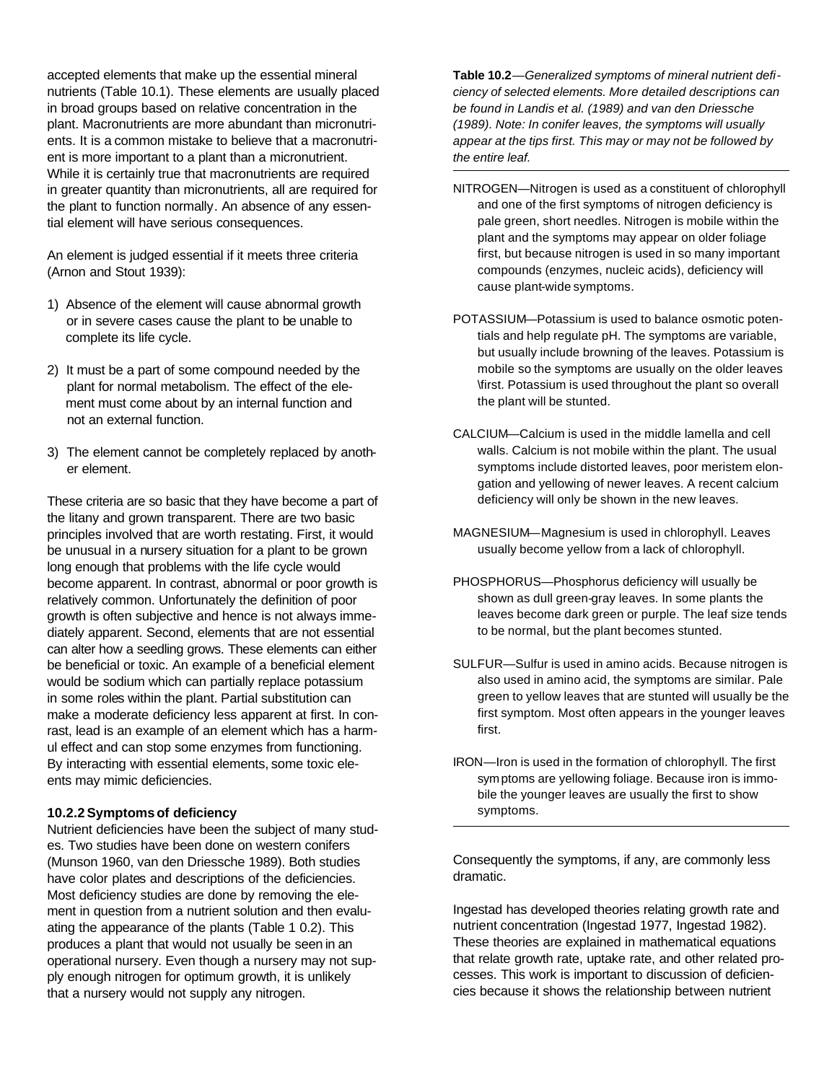accepted elements that make up the essential mineral nutrients (Table 10.1). These elements are usually placed in broad groups based on relative concentration in the plant. Macronutrients are more abundant than micronutrients. It is a common mistake to believe that a macronutrient is more important to a plant than a micronutrient. While it is certainly true that macronutrients are required in greater quantity than micronutrients, all are required for the plant to function normally. An absence of any essential element will have serious consequences.

An element is judged essential if it meets three criteria (Arnon and Stout 1939):

- 1) Absence of the element will cause abnormal growth or in severe cases cause the plant to be unable to complete its life cycle.
- 2) It must be a part of some compound needed by the plant for normal metabolism. The effect of the ele ment must come about by an internal function and not an external function.
- 3) The element cannot be completely replaced by anoth er element.

These criteria are so basic that they have become a part of the litany and grown transparent. There are two basic principles involved that are worth restating. First, it would be unusual in a nursery situation for a plant to be grown long enough that problems with the life cycle would become apparent. In contrast, abnormal or poor growth is relatively common. Unfortunately the definition of poor growth is often subjective and hence is not always immediately apparent. Second, elements that are not essential can alter how a seedling grows. These elements can either be beneficial or toxic. An example of a beneficial element would be sodium which can partially replace potassium in some roles within the plant. Partial substitution can make a moderate deficiency less apparent at first. In conrast, lead is an example of an element which has a harmul effect and can stop some enzymes from functioning. By interacting with essential elements, some toxic eleents may mimic deficiencies.

#### **10.2.2Symptomsof deficiency**

Nutrient deficiencies have been the subject of many studes. Two studies have been done on western conifers (Munson 1960, van den Driessche 1989). Both studies have color plates and descriptions of the deficiencies. Most deficiency studies are done by removing the element in question from a nutrient solution and then evaluating the appearance of the plants (Table 1 0.2). This produces a plant that would not usually be seen in an operational nursery. Even though a nursery may not supply enough nitrogen for optimum growth, it is unlikely that a nursery would not supply any nitrogen.

**Table 10.2**—*Generalized symptoms of mineral nutrient deficiency of selected elements. More detailed descriptions can be found in Landis et al. (1989) and van den Driessche (1989). Note: In conifer leaves, the symptoms will usually appear at the tips first. This may or may not be followed by the entire leaf.*

- NITROGEN—Nitrogen is used as a constituent of chlorophyll and one of the first symptoms of nitrogen deficiency is pale green, short needles. Nitrogen is mobile within the plant and the symptoms may appear on older foliage first, but because nitrogen is used in so many important compounds (enzymes, nucleic acids), deficiency will cause plant-wide symptoms.
- POTASSIUM—Potassium is used to balance osmotic potentials and help regulate pH. The symptoms are variable, but usually include browning of the leaves. Potassium is mobile so the symptoms are usually on the older leaves \first. Potassium is used throughout the plant so overall the plant will be stunted.
- CALCIUM—Calcium is used in the middle lamella and cell walls. Calcium is not mobile within the plant. The usual symptoms include distorted leaves, poor meristem elongation and yellowing of newer leaves. A recent calcium deficiency will only be shown in the new leaves.
- MAGNESIUM—Magnesium is used in chlorophyll. Leaves usually become yellow from a lack of chlorophyll.
- PHOSPHORUS—Phosphorus deficiency will usually be shown as dull green-gray leaves. In some plants the leaves become dark green or purple. The leaf size tends to be normal, but the plant becomes stunted.
- SULFUR—Sulfur is used in amino acids. Because nitrogen is also used in amino acid, the symptoms are similar. Pale green to yellow leaves that are stunted will usually be the first symptom. Most often appears in the younger leaves first.
- IRON—Iron is used in the formation of chlorophyll. The first sym ptoms are yellowing foliage. Because iron is immobile the younger leaves are usually the first to show symptoms.

Consequently the symptoms, if any, are commonly less dramatic.

Ingestad has developed theories relating growth rate and nutrient concentration (Ingestad 1977, Ingestad 1982). These theories are explained in mathematical equations that relate growth rate, uptake rate, and other related processes. This work is important to discussion of deficiencies because it shows the relationship between nutrient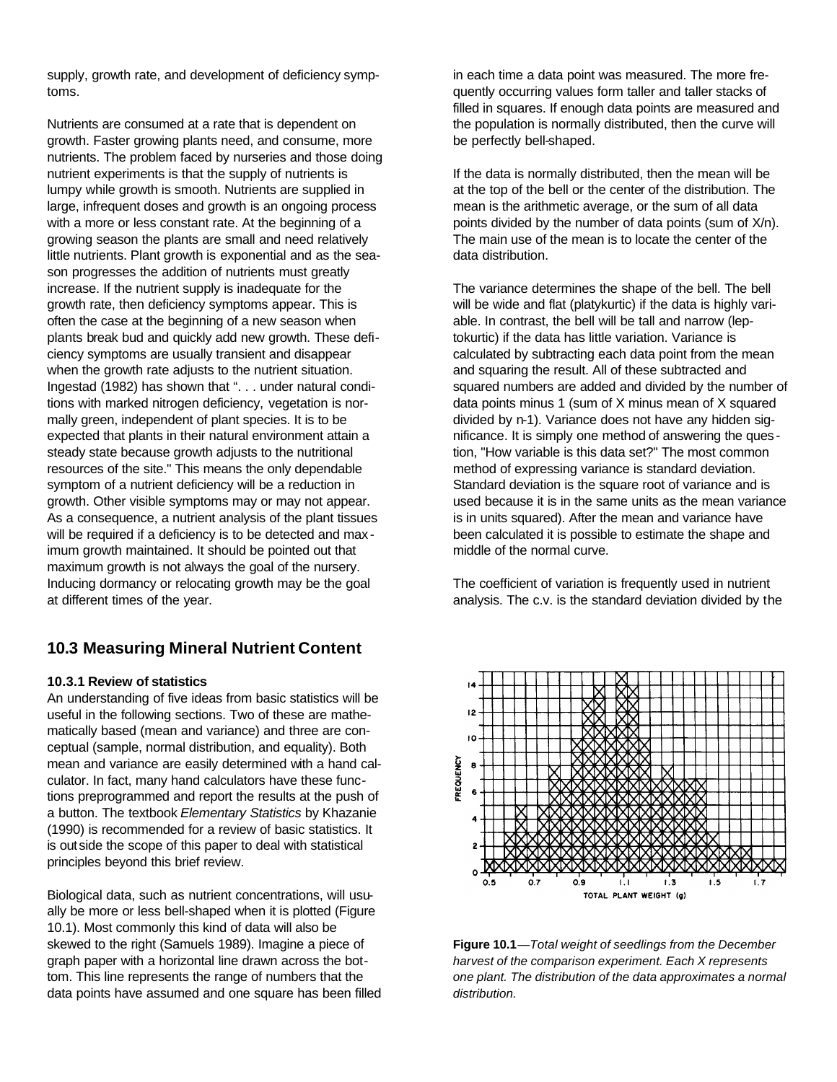supply, growth rate, and development of deficiency symptoms.

Nutrients are consumed at a rate that is dependent on growth. Faster growing plants need, and consume, more nutrients. The problem faced by nurseries and those doing nutrient experiments is that the supply of nutrients is lumpy while growth is smooth. Nutrients are supplied in large, infrequent doses and growth is an ongoing process with a more or less constant rate. At the beginning of a growing season the plants are small and need relatively little nutrients. Plant growth is exponential and as the season progresses the addition of nutrients must greatly increase. If the nutrient supply is inadequate for the growth rate, then deficiency symptoms appear. This is often the case at the beginning of a new season when plants break bud and quickly add new growth. These deficiency symptoms are usually transient and disappear when the growth rate adjusts to the nutrient situation. Ingestad (1982) has shown that ". . . under natural conditions with marked nitrogen deficiency, vegetation is normally green, independent of plant species. It is to be expected that plants in their natural environment attain a steady state because growth adjusts to the nutritional resources of the site." This means the only dependable symptom of a nutrient deficiency will be a reduction in growth. Other visible symptoms may or may not appear. As a consequence, a nutrient analysis of the plant tissues will be required if a deficiency is to be detected and max imum growth maintained. It should be pointed out that maximum growth is not always the goal of the nursery. Inducing dormancy or relocating growth may be the goal at different times of the year.

## **10.3 Measuring Mineral Nutrient Content**

#### **10.3.1 Review of statistics**

An understanding of five ideas from basic statistics will be useful in the following sections. Two of these are mathematically based (mean and variance) and three are conceptual (sample, normal distribution, and equality). Both mean and variance are easily determined with a hand calculator. In fact, many hand calculators have these functions preprogrammed and report the results at the push of a button. The textbook *Elementary Statistics* by Khazanie (1990) is recommended for a review of basic statistics. It is outside the scope of this paper to deal with statistical principles beyond this brief review.

Biological data, such as nutrient concentrations, will usually be more or less bell-shaped when it is plotted (Figure 10.1). Most commonly this kind of data will also be skewed to the right (Samuels 1989). Imagine a piece of graph paper with a horizontal line drawn across the bottom. This line represents the range of numbers that the data points have assumed and one square has been filled in each time a data point was measured. The more frequently occurring values form taller and taller stacks of filled in squares. If enough data points are measured and the population is normally distributed, then the curve will be perfectly bell-shaped.

If the data is normally distributed, then the mean will be at the top of the bell or the center of the distribution. The mean is the arithmetic average, or the sum of all data points divided by the number of data points (sum of X/n). The main use of the mean is to locate the center of the data distribution.

The variance determines the shape of the bell. The bell will be wide and flat (platykurtic) if the data is highly variable. In contrast, the bell will be tall and narrow (leptokurtic) if the data has little variation. Variance is calculated by subtracting each data point from the mean and squaring the result. All of these subtracted and squared numbers are added and divided by the number of data points minus 1 (sum of X minus mean of X squared divided by n-1). Variance does not have any hidden significance. It is simply one method of answering the ques tion, "How variable is this data set?" The most common method of expressing variance is standard deviation. Standard deviation is the square root of variance and is used because it is in the same units as the mean variance is in units squared). After the mean and variance have been calculated it is possible to estimate the shape and middle of the normal curve.

The coefficient of variation is frequently used in nutrient analysis. The c.v. is the standard deviation divided by the



**Figure 10.1**—*Total weight of seedlings from the December harvest of the comparison experiment. Each X represents one plant. The distribution of the data approximates a normal distribution.*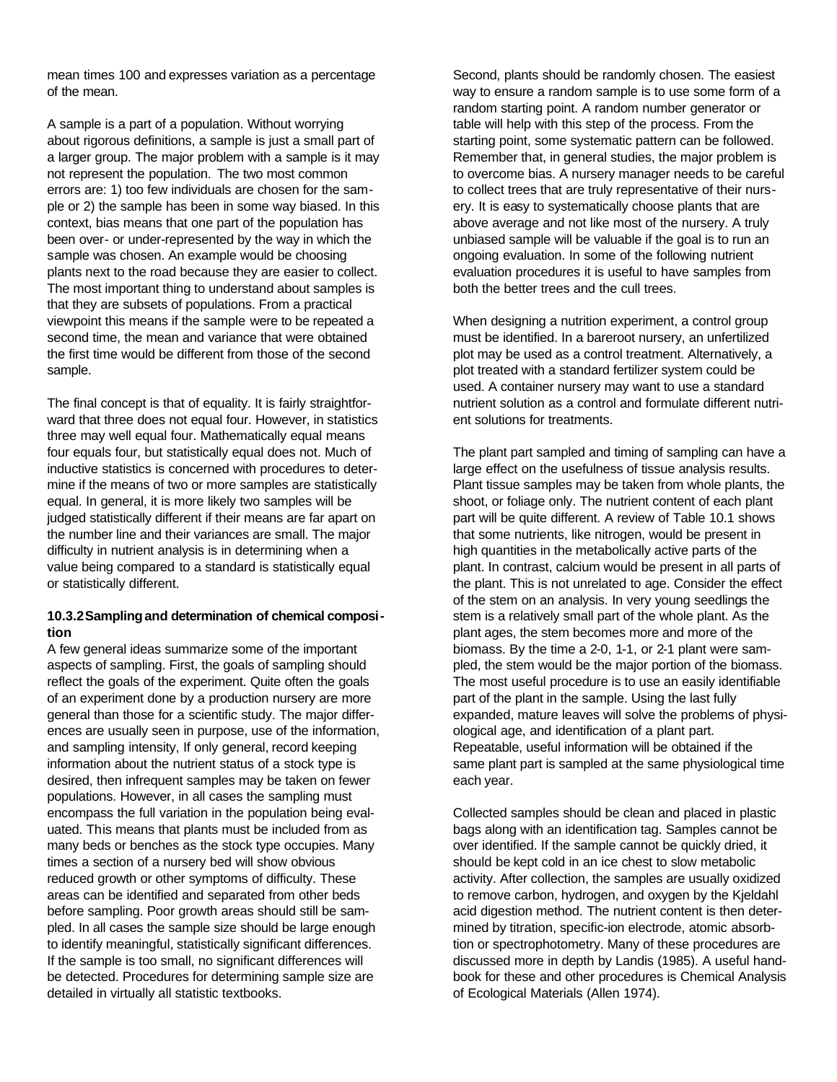mean times 100 and expresses variation as a percentage of the mean.

A sample is a part of a population. Without worrying about rigorous definitions, a sample is just a small part of a larger group. The major problem with a sample is it may not represent the population. The two most common errors are: 1) too few individuals are chosen for the sample or 2) the sample has been in some way biased. In this context, bias means that one part of the population has been over- or under-represented by the way in which the sample was chosen. An example would be choosing plants next to the road because they are easier to collect. The most important thing to understand about samples is that they are subsets of populations. From a practical viewpoint this means if the sample were to be repeated a second time, the mean and variance that were obtained the first time would be different from those of the second sample.

The final concept is that of equality. It is fairly straightforward that three does not equal four. However, in statistics three may well equal four. Mathematically equal means four equals four, but statistically equal does not. Much of inductive statistics is concerned with procedures to determine if the means of two or more samples are statistically equal. In general, it is more likely two samples will be judged statistically different if their means are far apart on the number line and their variances are small. The major difficulty in nutrient analysis is in determining when a value being compared to a standard is statistically equal or statistically different.

#### **10.3.2Samplingand determination of chemical composition**

A few general ideas summarize some of the important aspects of sampling. First, the goals of sampling should reflect the goals of the experiment. Quite often the goals of an experiment done by a production nursery are more general than those for a scientific study. The major differences are usually seen in purpose, use of the information, and sampling intensity, If only general, record keeping information about the nutrient status of a stock type is desired, then infrequent samples may be taken on fewer populations. However, in all cases the sampling must encompass the full variation in the population being evaluated. This means that plants must be included from as many beds or benches as the stock type occupies. Many times a section of a nursery bed will show obvious reduced growth or other symptoms of difficulty. These areas can be identified and separated from other beds before sampling. Poor growth areas should still be sampled. In all cases the sample size should be large enough to identify meaningful, statistically significant differences. If the sample is too small, no significant differences will be detected. Procedures for determining sample size are detailed in virtually all statistic textbooks.

Second, plants should be randomly chosen. The easiest way to ensure a random sample is to use some form of a random starting point. A random number generator or table will help with this step of the process. From the starting point, some systematic pattern can be followed. Remember that, in general studies, the major problem is to overcome bias. A nursery manager needs to be careful to collect trees that are truly representative of their nursery. It is easy to systematically choose plants that are above average and not like most of the nursery. A truly unbiased sample will be valuable if the goal is to run an ongoing evaluation. In some of the following nutrient evaluation procedures it is useful to have samples from both the better trees and the cull trees.

When designing a nutrition experiment, a control group must be identified. In a bareroot nursery, an unfertilized plot may be used as a control treatment. Alternatively, a plot treated with a standard fertilizer system could be used. A container nursery may want to use a standard nutrient solution as a control and formulate different nutrient solutions for treatments.

The plant part sampled and timing of sampling can have a large effect on the usefulness of tissue analysis results. Plant tissue samples may be taken from whole plants, the shoot, or foliage only. The nutrient content of each plant part will be quite different. A review of Table 10.1 shows that some nutrients, like nitrogen, would be present in high quantities in the metabolically active parts of the plant. In contrast, calcium would be present in all parts of the plant. This is not unrelated to age. Consider the effect of the stem on an analysis. In very young seedlings the stem is a relatively small part of the whole plant. As the plant ages, the stem becomes more and more of the biomass. By the time a 2-0, 1-1, or 2-1 plant were sampled, the stem would be the major portion of the biomass. The most useful procedure is to use an easily identifiable part of the plant in the sample. Using the last fully expanded, mature leaves will solve the problems of physiological age, and identification of a plant part. Repeatable, useful information will be obtained if the same plant part is sampled at the same physiological time each year.

Collected samples should be clean and placed in plastic bags along with an identification tag. Samples cannot be over identified. If the sample cannot be quickly dried, it should be kept cold in an ice chest to slow metabolic activity. After collection, the samples are usually oxidized to remove carbon, hydrogen, and oxygen by the Kjeldahl acid digestion method. The nutrient content is then determined by titration, specific-ion electrode, atomic absorbtion or spectrophotometry. Many of these procedures are discussed more in depth by Landis (1985). A useful handbook for these and other procedures is Chemical Analysis of Ecological Materials (Allen 1974).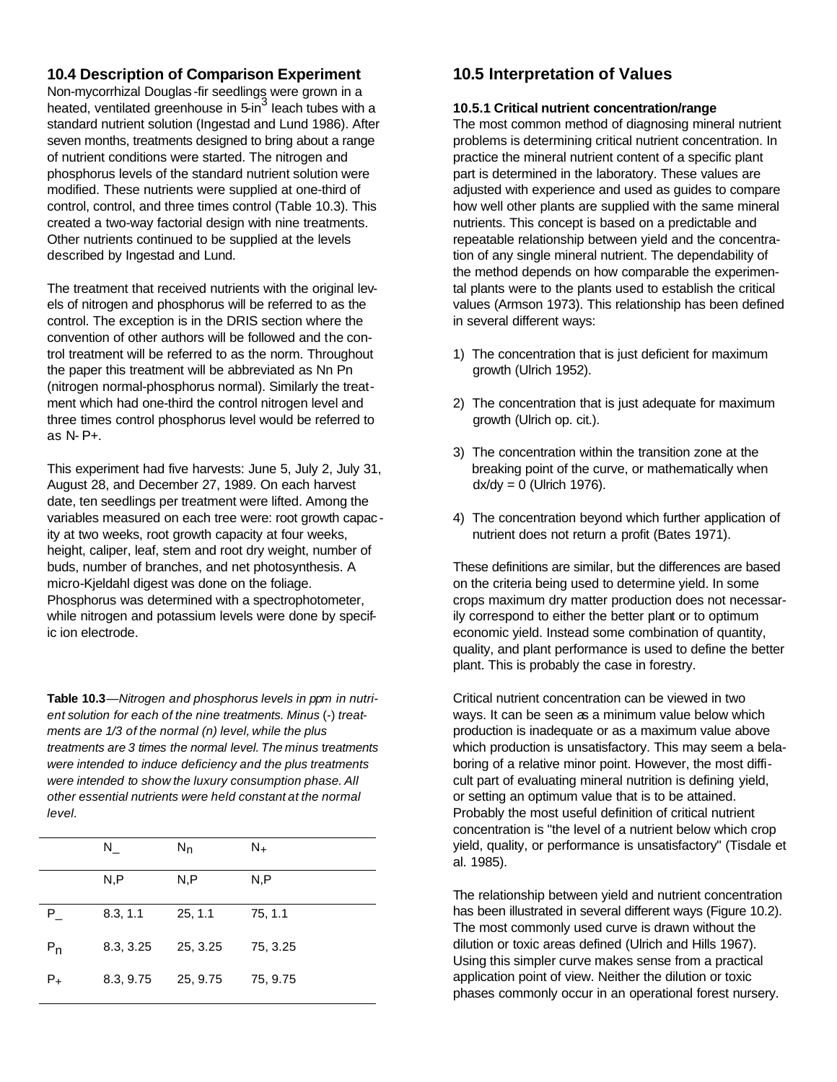### **10.4 Description of Comparison Experiment**

Non-mycorrhizal Douglas -fir seedlings were grown in a heated, ventilated greenhouse in 5-in<sup>3</sup> leach tubes with a standard nutrient solution (Ingestad and Lund 1986). After seven months, treatments designed to bring about a range of nutrient conditions were started. The nitrogen and phosphorus levels of the standard nutrient solution were modified. These nutrients were supplied at one-third of control, control, and three times control (Table 10.3). This created a two-way factorial design with nine treatments. Other nutrients continued to be supplied at the levels described by Ingestad and Lund.

The treatment that received nutrients with the original levels of nitrogen and phosphorus will be referred to as the control. The exception is in the DRIS section where the convention of other authors will be followed and the control treatment will be referred to as the norm. Throughout the paper this treatment will be abbreviated as Nn Pn (nitrogen normal-phosphorus normal). Similarly the treatment which had one-third the control nitrogen level and three times control phosphorus level would be referred to as N- P+.

This experiment had five harvests: June 5, July 2, July 31, August 28, and December 27, 1989. On each harvest date, ten seedlings per treatment were lifted. Among the variables measured on each tree were: root growth capac ity at two weeks, root growth capacity at four weeks, height, caliper, leaf, stem and root dry weight, number of buds, number of branches, and net photosynthesis. A micro-Kjeldahl digest was done on the foliage. Phosphorus was determined with a spectrophotometer, while nitrogen and potassium levels were done by specific ion electrode.

**Table 10.3***—Nitrogen and phosphorus levels in ppm in nutrient solution for each of the nine treatments. Minus* (-) *treatments are 1/3 of the normal (n) level, while the plus treatments are 3 times the normal level. The minus* t*reatments were intended to induce deficiency and the plus treatments were intended to show the luxury consumption phase. All other essential nutrients were held constant at the normal level.*

|                | N.        | $N_{n}$  | N <sub>+</sub> |
|----------------|-----------|----------|----------------|
|                | N, P      | N, P     | N,P            |
| P.             | 8.3, 1.1  | 25, 1.1  | 75, 1.1        |
| $P_{n}$        | 8.3, 3.25 | 25, 3.25 | 75, 3.25       |
| P <sub>+</sub> | 8.3, 9.75 | 25, 9.75 | 75, 9.75       |

## **10.5 Interpretation of Values**

#### **10.5.1 Critical nutrient concentration/range**

The most common method of diagnosing mineral nutrient problems is determining critical nutrient concentration. In practice the mineral nutrient content of a specific plant part is determined in the laboratory. These values are adjusted with experience and used as guides to compare how well other plants are supplied with the same mineral nutrients. This concept is based on a predictable and repeatable relationship between yield and the concentration of any single mineral nutrient. The dependability of the method depends on how comparable the experimental plants were to the plants used to establish the critical values (Armson 1973). This relationship has been defined in several different ways:

- 1) The concentration that is just deficient for maximum growth (Ulrich 1952).
- 2) The concentration that is just adequate for maximum growth (Ulrich op. cit.).
- 3) The concentration within the transition zone at the breaking point of the curve, or mathematically when  $dx/dy = 0$  (Ulrich 1976).
- 4) The concentration beyond which further application of nutrient does not return a profit (Bates 1971).

These definitions are similar, but the differences are based on the criteria being used to determine yield. In some crops maximum dry matter production does not necessarily correspond to either the better plant or to optimum economic yield. Instead some combination of quantity, quality, and plant performance is used to define the better plant. This is probably the case in forestry.

Critical nutrient concentration can be viewed in two ways. It can be seen as a minimum value below which production is inadequate or as a maximum value above which production is unsatisfactory. This may seem a belaboring of a relative minor point. However, the most difficult part of evaluating mineral nutrition is defining yield, or setting an optimum value that is to be attained. Probably the most useful definition of critical nutrient concentration is "the level of a nutrient below which crop yield, quality, or performance is unsatisfactory" (Tisdale et al. 1985).

The relationship between yield and nutrient concentration has been illustrated in several different ways (Figure 10.2). The most commonly used curve is drawn without the dilution or toxic areas defined (Ulrich and Hills 1967). Using this simpler curve makes sense from a practical application point of view. Neither the dilution or toxic phases commonly occur in an operational forest nursery.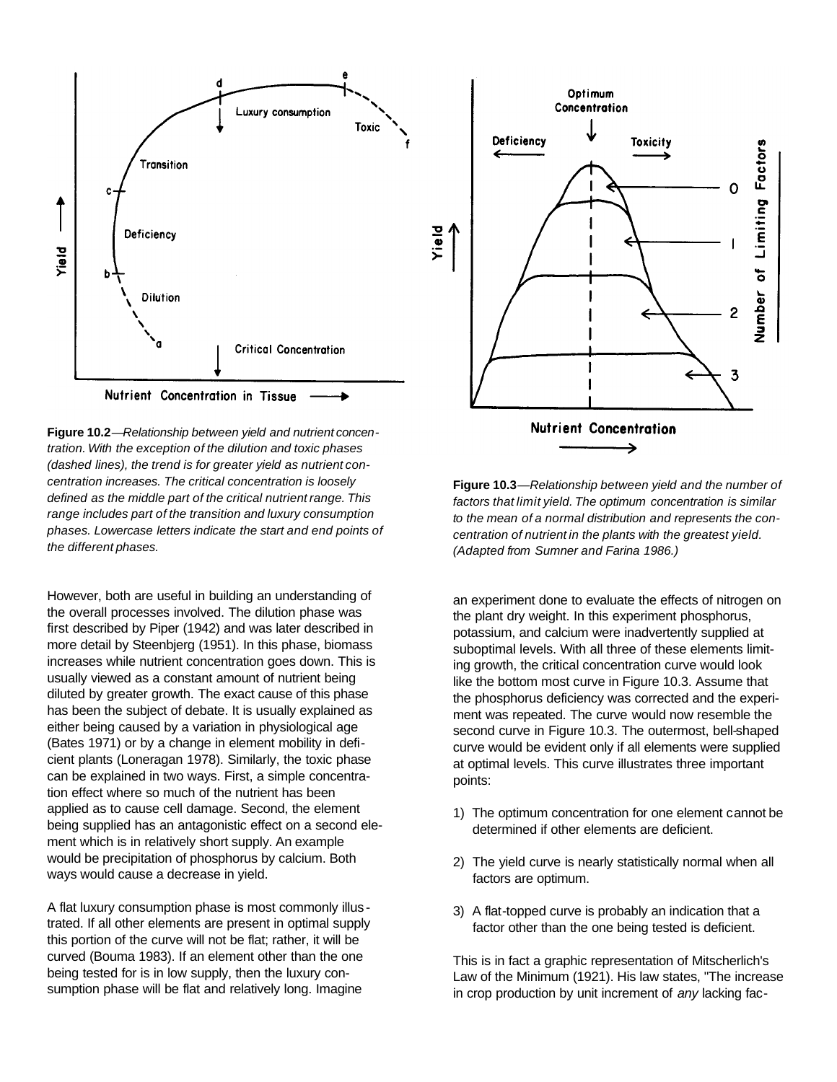

**Figure 10.2***—Relationship between yield and nutrient concentration. With the exception of the dilution and toxic phases (dashed lines), the trend is for greater yield as nutrient concentration increases. The critical concentration is loosely defined as the middle part of the critical nutrient range. This range includes part of the transition and luxury consumption phases. Lowercase letters indicate the start and end points of the different phases.*

However, both are useful in building an understanding of the overall processes involved. The dilution phase was first described by Piper (1942) and was later described in more detail by Steenbjerg (1951). In this phase, biomass increases while nutrient concentration goes down. This is usually viewed as a constant amount of nutrient being diluted by greater growth. The exact cause of this phase has been the subject of debate. It is usually explained as either being caused by a variation in physiological age (Bates 1971) or by a change in element mobility in deficient plants (Loneragan 1978). Similarly, the toxic phase can be explained in two ways. First, a simple concentration effect where so much of the nutrient has been applied as to cause cell damage. Second, the element being supplied has an antagonistic effect on a second element which is in relatively short supply. An example would be precipitation of phosphorus by calcium. Both ways would cause a decrease in yield.

A flat luxury consumption phase is most commonly illus trated. If all other elements are present in optimal supply this portion of the curve will not be flat; rather, it will be curved (Bouma 1983). If an element other than the one being tested for is in low supply, then the luxury consumption phase will be flat and relatively long. Imagine



**Figure 10.3***—Relationship between yield and the number of factors that limit yield. The optimum concentration is similar to the mean of a normal distribution and represents the concentration of nutrient in the plants with the greatest yield. (Adapted from Sumner and Farina 1986.)*

an experiment done to evaluate the effects of nitrogen on the plant dry weight. In this experiment phosphorus, potassium, and calcium were inadvertently supplied at suboptimal levels. With all three of these elements limiting growth, the critical concentration curve would look like the bottom most curve in Figure 10.3. Assume that the phosphorus deficiency was corrected and the experiment was repeated. The curve would now resemble the second curve in Figure 10.3. The outermost, bell-shaped curve would be evident only if all elements were supplied at optimal levels. This curve illustrates three important points:

- 1) The optimum concentration for one element cannot be determined if other elements are deficient.
- 2) The yield curve is nearly statistically normal when all factors are optimum.
- 3) A flat-topped curve is probably an indication that a factor other than the one being tested is deficient.

This is in fact a graphic representation of Mitscherlich's Law of the Minimum (1921). His law states, "The increase in crop production by unit increment of *any* lacking fac-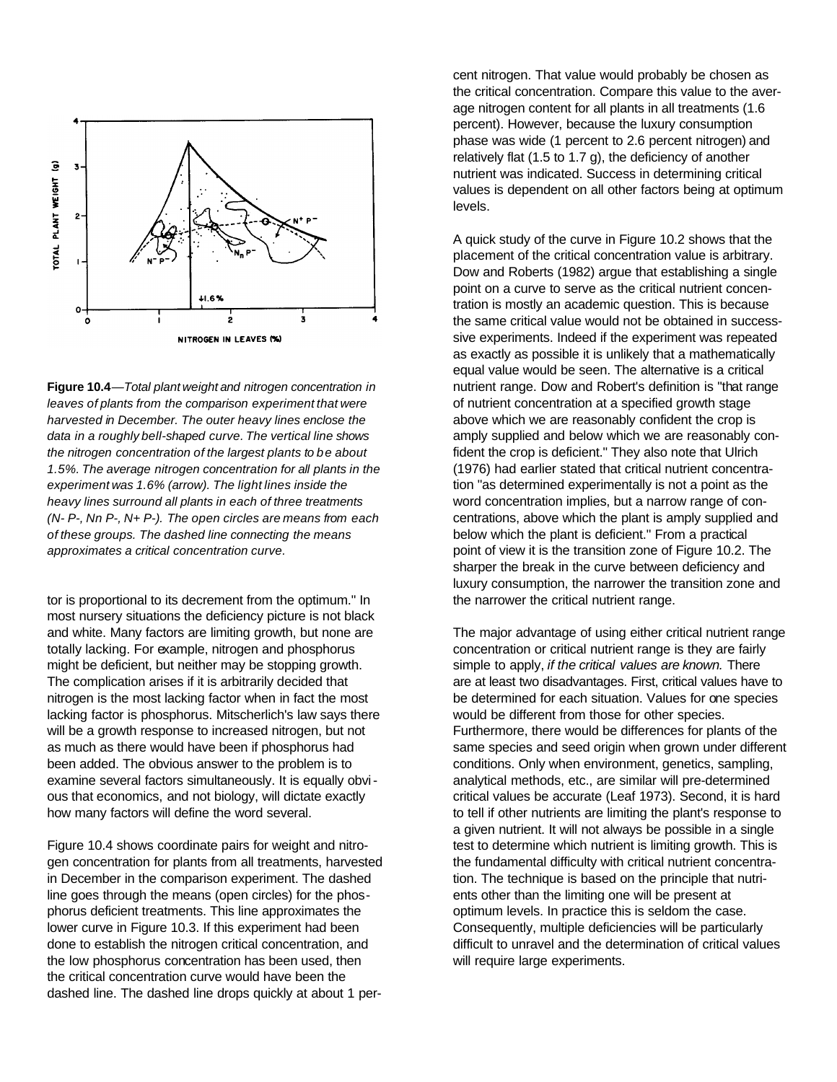

**Figure 10.4***—Total plant weight and nitrogen concentration in leaves of plants from the comparison experiment that were harvested in December. The outer heavy lines enclose the data in a roughly bell-shaped curve. The vertical line shows the nitrogen concentration of the largest plants to be about 1.5%. The average nitrogen concentration for all plants in the experiment was 1.6% (arrow). The light lines inside the heavy lines surround all plants in each of three treatments (N- P-, Nn P-, N+ P-). The open circles are means from each of these groups. The dashed line connecting the means approximates a critical concentration curve.*

tor is proportional to its decrement from the optimum." In most nursery situations the deficiency picture is not black and white. Many factors are limiting growth, but none are totally lacking. For example, nitrogen and phosphorus might be deficient, but neither may be stopping growth. The complication arises if it is arbitrarily decided that nitrogen is the most lacking factor when in fact the most lacking factor is phosphorus. Mitscherlich's law says there will be a growth response to increased nitrogen, but not as much as there would have been if phosphorus had been added. The obvious answer to the problem is to examine several factors simultaneously. It is equally obvious that economics, and not biology, will dictate exactly how many factors will define the word several.

Figure 10.4 shows coordinate pairs for weight and nitrogen concentration for plants from all treatments, harvested in December in the comparison experiment. The dashed line goes through the means (open circles) for the phosphorus deficient treatments. This line approximates the lower curve in Figure 10.3. If this experiment had been done to establish the nitrogen critical concentration, and the low phosphorus concentration has been used, then the critical concentration curve would have been the dashed line. The dashed line drops quickly at about 1 percent nitrogen. That value would probably be chosen as the critical concentration. Compare this value to the average nitrogen content for all plants in all treatments (1.6 percent). However, because the luxury consumption phase was wide (1 percent to 2.6 percent nitrogen) and relatively flat (1.5 to 1.7 g), the deficiency of another nutrient was indicated. Success in determining critical values is dependent on all other factors being at optimum levels.

A quick study of the curve in Figure 10.2 shows that the placement of the critical concentration value is arbitrary. Dow and Roberts (1982) argue that establishing a single point on a curve to serve as the critical nutrient concentration is mostly an academic question. This is because the same critical value would not be obtained in successsive experiments. Indeed if the experiment was repeated as exactly as possible it is unlikely that a mathematically equal value would be seen. The alternative is a critical nutrient range. Dow and Robert's definition is "that range of nutrient concentration at a specified growth stage above which we are reasonably confident the crop is amply supplied and below which we are reasonably confident the crop is deficient." They also note that Ulrich (1976) had earlier stated that critical nutrient concentration "as determined experimentally is not a point as the word concentration implies, but a narrow range of concentrations, above which the plant is amply supplied and below which the plant is deficient." From a practical point of view it is the transition zone of Figure 10.2. The sharper the break in the curve between deficiency and luxury consumption, the narrower the transition zone and the narrower the critical nutrient range.

The major advantage of using either critical nutrient range concentration or critical nutrient range is they are fairly simple to apply, *if the critical values are known.* There are at least two disadvantages. First, critical values have to be determined for each situation. Values for one species would be different from those for other species. Furthermore, there would be differences for plants of the same species and seed origin when grown under different conditions. Only when environment, genetics, sampling, analytical methods, etc., are similar will pre-determined critical values be accurate (Leaf 1973). Second, it is hard to tell if other nutrients are limiting the plant's response to a given nutrient. It will not always be possible in a single test to determine which nutrient is limiting growth. This is the fundamental difficulty with critical nutrient concentration. The technique is based on the principle that nutrients other than the limiting one will be present at optimum levels. In practice this is seldom the case. Consequently, multiple deficiencies will be particularly difficult to unravel and the determination of critical values will require large experiments.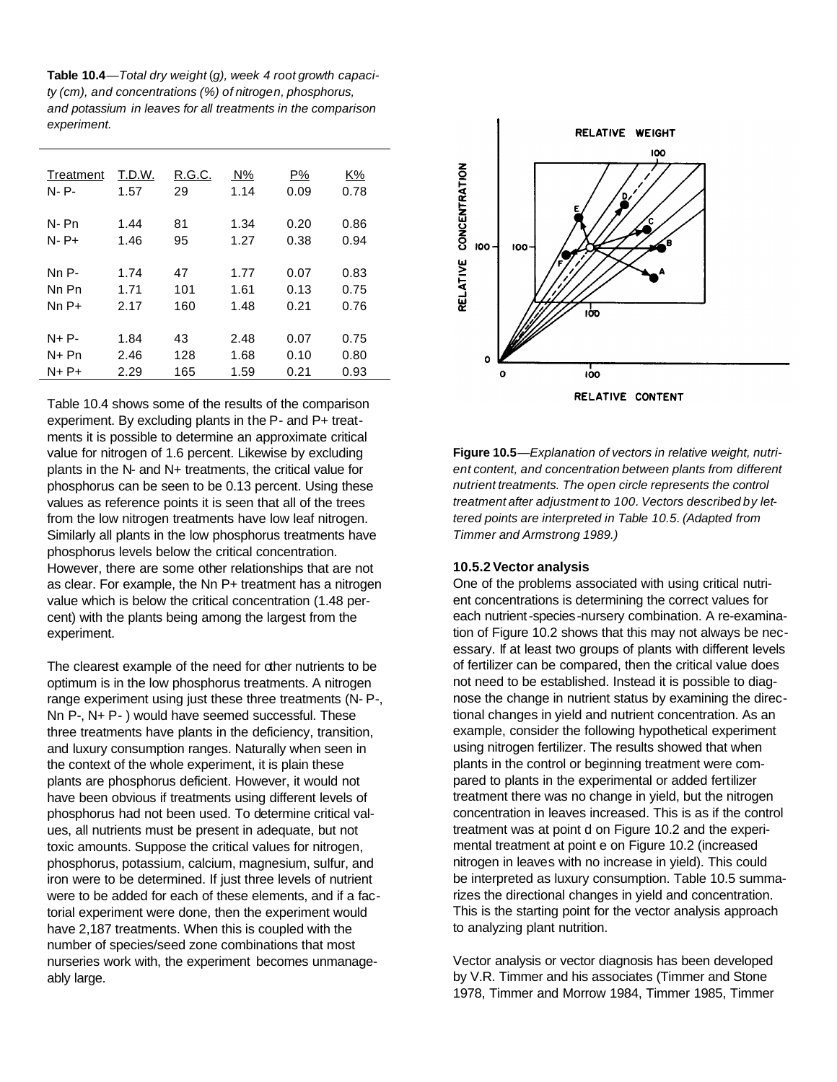**Table 10.4***—Total dry weight* (*g), week 4 root growth capacity (cm), and concentrations (%) of nitrogen, phosphorus, and potassium in leaves for all treatments in the comparison experiment.*

| Treatment<br>N-P- | T.D.W.<br>1.57 | R.G.C.<br>29 | N%<br>1.14 | P%<br>0.09 | K%<br>0.78 |
|-------------------|----------------|--------------|------------|------------|------------|
| N-Pn              | 1.44           | 81           | 1.34       | 0.20       | 0.86       |
| $N - P +$         | 1.46           | 95           | 1.27       | 0.38       | 0.94       |
| Nn P-             | 1.74           | 47           | 1.77       | 0.07       | 0.83       |
| Nn Pn             | 1.71           | 101          | 1.61       | 0.13       | 0.75       |
| $NnP+$            | 2.17           | 160          | 1.48       | 0.21       | 0.76       |
| $N + P -$         | 1.84           | 43           | 2.48       | 0.07       | 0.75       |
| N+ Pn             | 2.46           | 128          | 1.68       | 0.10       | 0.80       |
| $N+P+$            | 2.29           | 165          | 1.59       | 0.21       | 0.93       |

Table 10.4 shows some of the results of the comparison experiment. By excluding plants in the P- and P+ treatments it is possible to determine an approximate critical value for nitrogen of 1.6 percent. Likewise by excluding plants in the N- and N+ treatments, the critical value for phosphorus can be seen to be 0.13 percent. Using these values as reference points it is seen that all of the trees from the low nitrogen treatments have low leaf nitrogen. Similarly all plants in the low phosphorus treatments have phosphorus levels below the critical concentration. However, there are some other relationships that are not as clear. For example, the Nn P+ treatment has a nitrogen value which is below the critical concentration (1.48 percent) with the plants being among the largest from the experiment.

The clearest example of the need for other nutrients to be optimum is in the low phosphorus treatments. A nitrogen range experiment using just these three treatments (N- P-, Nn P-, N+ P- ) would have seemed successful. These three treatments have plants in the deficiency, transition, and luxury consumption ranges. Naturally when seen in the context of the whole experiment, it is plain these plants are phosphorus deficient. However, it would not have been obvious if treatments using different levels of phosphorus had not been used. To determine critical values, all nutrients must be present in adequate, but not toxic amounts. Suppose the critical values for nitrogen, phosphorus, potassium, calcium, magnesium, sulfur, and iron were to be determined. If just three levels of nutrient were to be added for each of these elements, and if a factorial experiment were done, then the experiment would have 2,187 treatments. When this is coupled with the number of species/seed zone combinations that most nurseries work with, the experiment becomes unmanageably large.



**Figure 10.5***—Explanation of vectors in relative weight, nutrient content, and concentration between plants from different nutrient treatments. The open circle represents the control treatment after adjustment to 100. Vectors described by lettered points are interpreted in Table 10.5. (Adapted from Timmer and Armstrong 1989.)*

#### **10.5.2Vector analysis**

One of the problems associated with using critical nutrient concentrations is determining the correct values for each nutrient-species-nursery combination. A re-examination of Figure 10.2 shows that this may not always be necessary. If at least two groups of plants with different levels of fertilizer can be compared, then the critical value does not need to be established. Instead it is possible to diagnose the change in nutrient status by examining the directional changes in yield and nutrient concentration. As an example, consider the following hypothetical experiment using nitrogen fertilizer. The results showed that when plants in the control or beginning treatment were compared to plants in the experimental or added fertilizer treatment there was no change in yield, but the nitrogen concentration in leaves increased. This is as if the control treatment was at point d on Figure 10.2 and the experimental treatment at point e on Figure 10.2 (increased nitrogen in leaves with no increase in yield). This could be interpreted as luxury consumption. Table 10.5 summarizes the directional changes in yield and concentration. This is the starting point for the vector analysis approach to analyzing plant nutrition.

Vector analysis or vector diagnosis has been developed by V.R. Timmer and his associates (Timmer and Stone 1978, Timmer and Morrow 1984, Timmer 1985, Timmer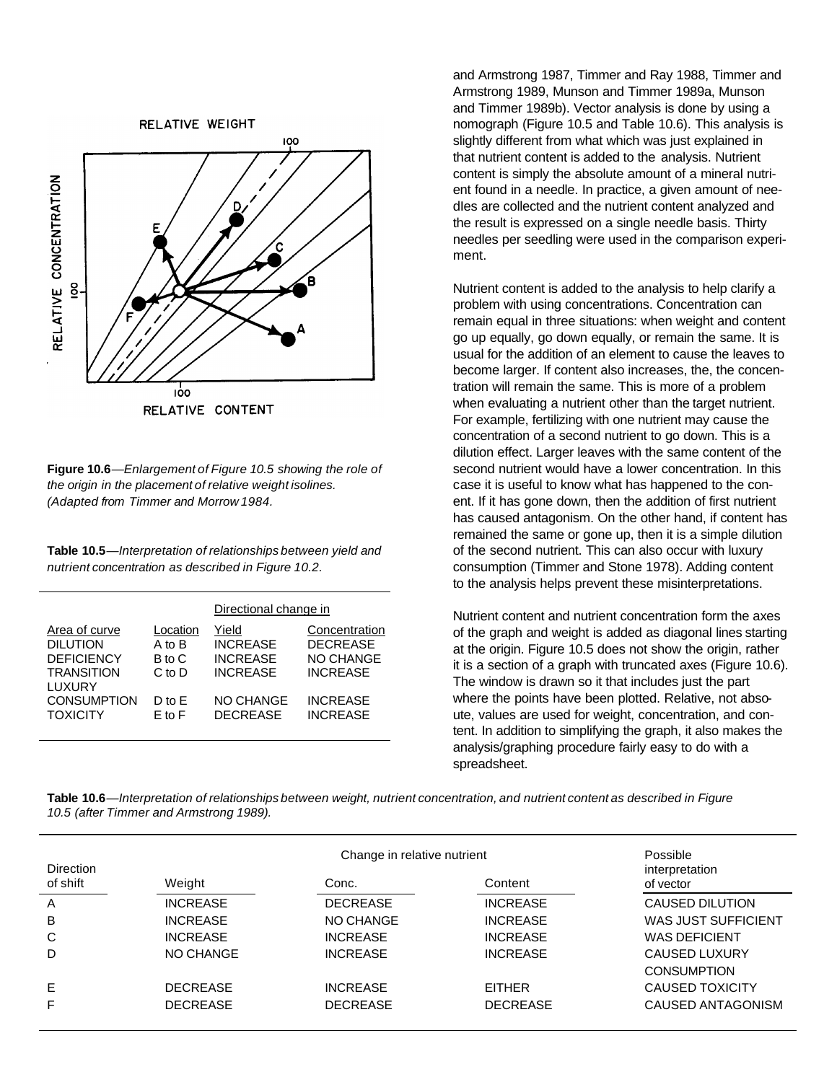RELATIVE WEIGHT



**Figure 10.6***—Enlargement of Figure 10.5 showing the role of the origin in the placement of relative weight isolines. (Adapted from Timmer and Morrow 1984.*

**Table 10.5***—Interpretation of relationships between yield and nutrient concentration as described in Figure 10.2.*

|                                                                                                                               |                                                                        | Directional change in                                                                          |                                                                                                               |
|-------------------------------------------------------------------------------------------------------------------------------|------------------------------------------------------------------------|------------------------------------------------------------------------------------------------|---------------------------------------------------------------------------------------------------------------|
| Area of curve<br><b>DILUTION</b><br><b>DEFICIENCY</b><br><b>TRANSITION</b><br>LUXURY<br><b>CONSUMPTION</b><br><b>TOXICITY</b> | Location<br>A to B<br>B to C<br>$C$ to $D$<br>$D$ to $F$<br>$F$ to $F$ | Yield<br><b>INCREASE</b><br><b>INCREASE</b><br><b>INCREASE</b><br>NO CHANGE<br><b>DECREASE</b> | Concentration<br><b>DECREASE</b><br><b>NO CHANGE</b><br><b>INCREASE</b><br><b>INCREASE</b><br><b>INCREASE</b> |
|                                                                                                                               |                                                                        |                                                                                                |                                                                                                               |

and Armstrong 1987, Timmer and Ray 1988, Timmer and Armstrong 1989, Munson and Timmer 1989a, Munson and Timmer 1989b). Vector analysis is done by using a nomograph (Figure 10.5 and Table 10.6). This analysis is slightly different from what which was just explained in that nutrient content is added to the analysis. Nutrient content is simply the absolute amount of a mineral nutrient found in a needle. In practice, a given amount of needles are collected and the nutrient content analyzed and the result is expressed on a single needle basis. Thirty needles per seedling were used in the comparison experiment.

Nutrient content is added to the analysis to help clarify a problem with using concentrations. Concentration can remain equal in three situations: when weight and content go up equally, go down equally, or remain the same. It is usual for the addition of an element to cause the leaves to become larger. If content also increases, the, the concentration will remain the same. This is more of a problem when evaluating a nutrient other than the target nutrient. For example, fertilizing with one nutrient may cause the concentration of a second nutrient to go down. This is a dilution effect. Larger leaves with the same content of the second nutrient would have a lower concentration. In this case it is useful to know what has happened to the conent. If it has gone down, then the addition of first nutrient has caused antagonism. On the other hand, if content has remained the same or gone up, then it is a simple dilution of the second nutrient. This can also occur with luxury consumption (Timmer and Stone 1978). Adding content to the analysis helps prevent these misinterpretations.

Nutrient content and nutrient concentration form the axes of the graph and weight is added as diagonal lines starting at the origin. Figure 10.5 does not show the origin, rather it is a section of a graph with truncated axes (Figure 10.6). The window is drawn so it that includes just the part where the points have been plotted. Relative, not absoute, values are used for weight, concentration, and content. In addition to simplifying the graph, it also makes the analysis/graphing procedure fairly easy to do with a spreadsheet.

Table 10.6—Interpretation of relationships between weight, nutrient concentration, and nutrient content as described in Figure *10.5 (after Timmer and Armstrong 1989).*

| <b>Direction</b> |                 | Change in relative nutrient |                 |                             |  |  |
|------------------|-----------------|-----------------------------|-----------------|-----------------------------|--|--|
| of shift         | Weight          | Conc.                       | Content         | interpretation<br>of vector |  |  |
| A                | <b>INCREASE</b> | <b>DECREASE</b>             | <b>INCREASE</b> | <b>CAUSED DILUTION</b>      |  |  |
| B                | <b>INCREASE</b> | NO CHANGE                   | <b>INCREASE</b> | WAS JUST SUFFICIENT         |  |  |
| C                | <b>INCREASE</b> | <b>INCREASE</b>             | <b>INCREASE</b> | <b>WAS DEFICIENT</b>        |  |  |
| D                | NO CHANGE       | <b>INCREASE</b>             | <b>INCREASE</b> | <b>CAUSED LUXURY</b>        |  |  |
|                  |                 |                             |                 | <b>CONSUMPTION</b>          |  |  |
| E                | <b>DECREASE</b> | <b>INCREASE</b>             | <b>EITHER</b>   | <b>CAUSED TOXICITY</b>      |  |  |
| F                | <b>DECREASE</b> | <b>DECREASE</b>             | <b>DECREASE</b> | CAUSED ANTAGONISM           |  |  |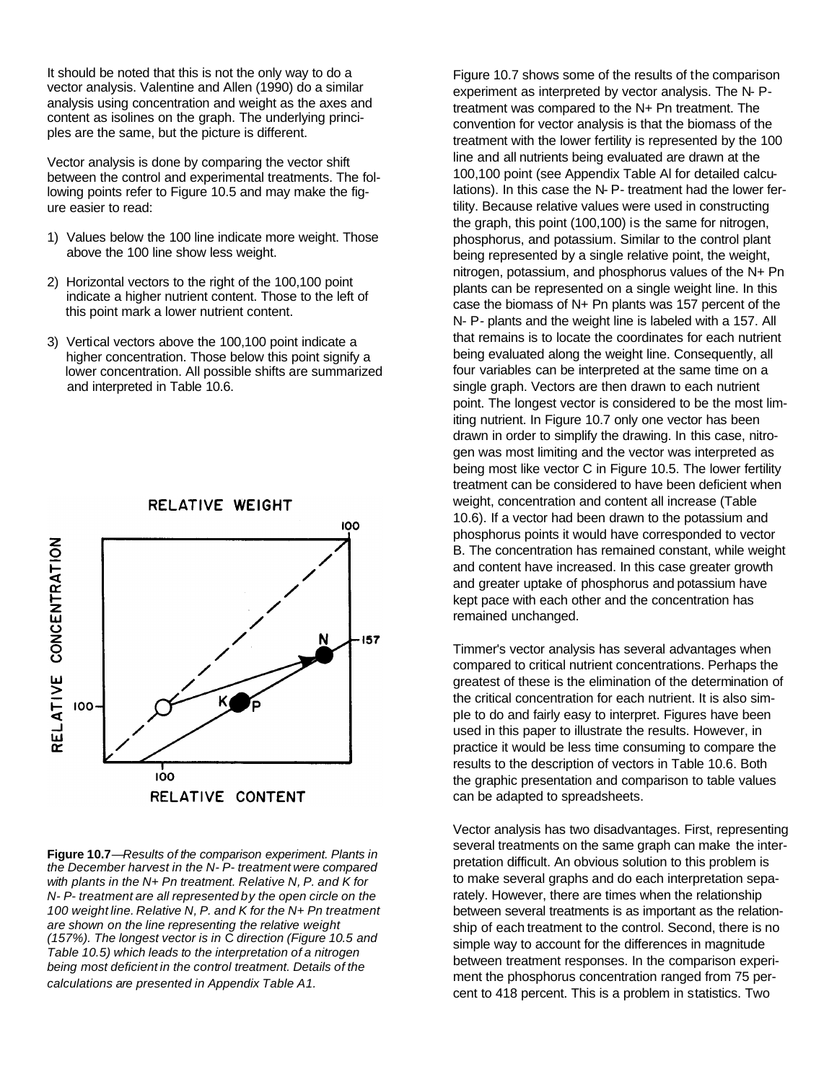It should be noted that this is not the only way to do a vector analysis. Valentine and Allen (1990) do a similar analysis using concentration and weight as the axes and content as isolines on the graph. The underlying principles are the same, but the picture is different.

Vector analysis is done by comparing the vector shift between the control and experimental treatments. The following points refer to Figure 10.5 and may make the figure easier to read:

- 1) Values below the 100 line indicate more weight. Those above the 100 line show less weight.
- 2) Horizontal vectors to the right of the 100,100 point indicate a higher nutrient content. Those to the left of this point mark a lower nutrient content.
- 3) Vertical vectors above the 100,100 point indicate a higher concentration. Those below this point signify a lower concentration. All possible shifts are summarized and interpreted in Table 10.6.



**Figure 10.7***—Results of the comparison experiment. Plants in the December harvest in the N- P- treatment were compared with plants in the N+ Pn treatment. Relative N, P. and K for N- P- treatment are all represented by the open circle on the 100 weight line. Relative N, P. and K for the N+ Pn treatment are shown on the line representing the relative weight (157%). The longest vector is in* C *direction (Figure 10.5 and Table 10.5) which leads to the interpretation of a nitrogen being most deficient in the control treatment. Details of the calculations are presented in Appendix Table A1.*

Figure 10.7 shows some of the results of the comparison experiment as interpreted by vector analysis. The N- Ptreatment was compared to the N+ Pn treatment. The convention for vector analysis is that the biomass of the treatment with the lower fertility is represented by the 100 line and all nutrients being evaluated are drawn at the 100,100 point (see Appendix Table Al for detailed calculations). In this case the N- P- treatment had the lower fertility. Because relative values were used in constructing the graph, this point (100,100) is the same for nitrogen, phosphorus, and potassium. Similar to the control plant being represented by a single relative point, the weight, nitrogen, potassium, and phosphorus values of the N+ Pn plants can be represented on a single weight line. In this case the biomass of N+ Pn plants was 157 percent of the N- P*-* plants and the weight line is labeled with a 157. All that remains is to locate the coordinates for each nutrient being evaluated along the weight line. Consequently, all four variables can be interpreted at the same time on a single graph. Vectors are then drawn to each nutrient point. The longest vector is considered to be the most limiting nutrient. In Figure 10.7 only one vector has been drawn in order to simplify the drawing. In this case, nitrogen was most limiting and the vector was interpreted as being most like vector C in Figure 10.5. The lower fertility treatment can be considered to have been deficient when weight, concentration and content all increase (Table 10.6). If a vector had been drawn to the potassium and phosphorus points it would have corresponded to vector B. The concentration has remained constant, while weight and content have increased. In this case greater growth and greater uptake of phosphorus and potassium have kept pace with each other and the concentration has remained unchanged.

Timmer's vector analysis has several advantages when compared to critical nutrient concentrations. Perhaps the greatest of these is the elimination of the determination of the critical concentration for each nutrient. It is also simple to do and fairly easy to interpret. Figures have been used in this paper to illustrate the results. However, in practice it would be less time consuming to compare the results to the description of vectors in Table 10.6. Both the graphic presentation and comparison to table values can be adapted to spreadsheets.

Vector analysis has two disadvantages. First, representing several treatments on the same graph can make the interpretation difficult. An obvious solution to this problem is to make several graphs and do each interpretation separately. However, there are times when the relationship between several treatments is as important as the relationship of each treatment to the control. Second, there is no simple way to account for the differences in magnitude between treatment responses. In the comparison experiment the phosphorus concentration ranged from 75 percent to 418 percent. This is a problem in statistics. Two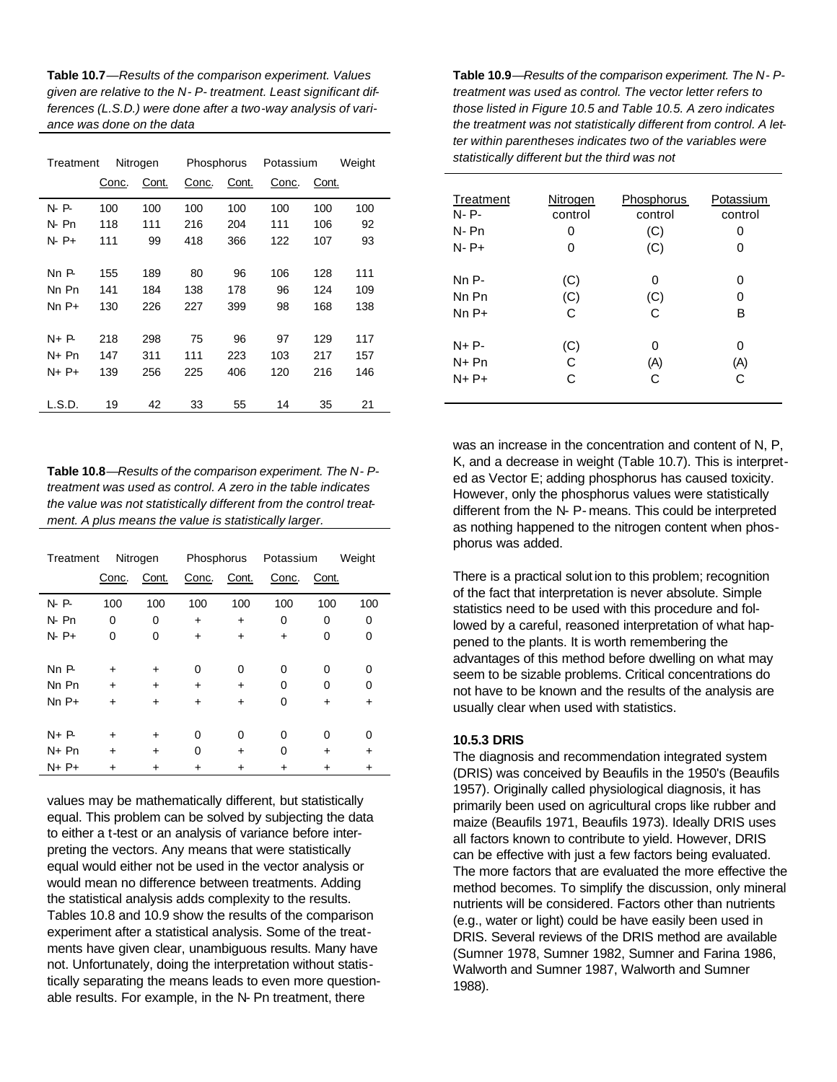**Table 10.7**—*Results of the comparison experiment. Values given are relative to the N- P- treatment. Least significant differences (L.S.D.) were done after a two-way analysis of variance was done on the data*

| Treatment |       | Nitrogen | Phosphorus |       | Potassium |       | Weight |
|-----------|-------|----------|------------|-------|-----------|-------|--------|
|           | Conc. | Cont.    | Conc.      | Cont. | Conc.     | Cont. |        |
| N P       | 100   | 100      | 100        | 100   | 100       | 100   | 100    |
| N-Pn      | 118   | 111      | 216        | 204   | 111       | 106   | 92     |
| N P+      | 111   | 99       | 418        | 366   | 122       | 107   | 93     |
|           |       |          |            |       |           |       |        |
| Nn P-     | 155   | 189      | 80         | 96    | 106       | 128   | 111    |
| Nn Pn     | 141   | 184      | 138        | 178   | 96        | 124   | 109    |
| $NnP+$    | 130   | 226      | 227        | 399   | 98        | 168   | 138    |
|           |       |          |            |       |           |       |        |
| N+ P-     | 218   | 298      | 75         | 96    | 97        | 129   | 117    |
| N+ Pn     | 147   | 311      | 111        | 223   | 103       | 217   | 157    |
| $N+P+$    | 139   | 256      | 225        | 406   | 120       | 216   | 146    |
|           |       |          |            |       |           |       |        |
| L.S.D.    | 19    | 42       | 33         | 55    | 14        | 35    | 21     |

**Table 10.8**—*Results of the comparison experiment. The N- Ptreatment was used as control. A zero in the table indicates the value was not statistically different from the control treatment. A plus means the value is statistically larger.*

| Treatment | Nitrogen  |           |           | Phosphorus |           | Potassium | Weight |
|-----------|-----------|-----------|-----------|------------|-----------|-----------|--------|
|           | Conc.     | Cont.     | Conc.     | Cont.      | Conc.     | Cont.     |        |
| $N - P$   | 100       | 100       | 100       | 100        | 100       | 100       | 100    |
| $N$ - Pn  | 0         | 0         | ÷         | $\ddot{}$  | 0         | 0         | 0      |
| $N - P +$ | 0         | 0         | $\ddot{}$ | $\ddot{}$  | $\ddot{}$ | 0         | 0      |
|           |           |           |           |            |           |           |        |
| NnP       | ÷         | ÷         | 0         | 0          | 0         | 0         | 0      |
| Nn Pn     | $\ddot{}$ | $\ddot{}$ | $\ddot{}$ | $\ddot{}$  | 0         | 0         | 0      |
| $NnP+$    | ÷         | ÷         | ÷         | $\ddot{}$  | 0         | $\ddot{}$ | ٠      |
|           |           |           |           |            |           |           |        |
| $N + P$   | ÷         | ÷         | 0         | 0          | 0         | 0         | 0      |
| N+ Pn     | ÷         | $\ddot{}$ | 0         | $\ddot{}$  | 0         | +         | ٠      |
| $N+P+$    |           |           |           |            |           |           | +      |

values may be mathematically different, but statistically equal. This problem can be solved by subjecting the data to either a t-test or an analysis of variance before interpreting the vectors. Any means that were statistically equal would either not be used in the vector analysis or would mean no difference between treatments. Adding the statistical analysis adds complexity to the results. Tables 10.8 and 10.9 show the results of the comparison experiment after a statistical analysis. Some of the treatments have given clear, unambiguous results. Many have not. Unfortunately, doing the interpretation without statistically separating the means leads to even more questionable results. For example, in the N- Pn treatment, there

**Table 10.9**—*Results of the comparison experiment. The N- Ptreatment was used as control. The vector letter refers to those listed in Figure 10.5 and Table 10.5. A zero indicates the treatment was not statistically different from control. A letter within parentheses indicates two of the variables were statistically different but the third was not*

| Treatment | Nitrogen | <u>Phosphorus</u> | Potassium |
|-----------|----------|-------------------|-----------|
| N-P-      | control  | control           | control   |
| N-Pn      | 0        | (C)               | 0         |
| $N - P +$ | 0        | (C)               | 0         |
| Nn P-     | (C)      | 0                 | 0         |
| Nn Pn     | (C)      | (C)               | 0         |
| $NnP+$    | C        | C                 | в         |
| $N + P -$ | (C)      | 0                 | 0         |
| $N+Pn$    | C        | (A)               | (A)       |
| $N+P+$    | C        | C                 | C         |

was an increase in the concentration and content of N, P, K, and a decrease in weight (Table 10.7). This is interpreted as Vector E; adding phosphorus has caused toxicity. However, only the phosphorus values were statistically different from the N- P- means. This could be interpreted as nothing happened to the nitrogen content when phosphorus was added.

There is a practical solution to this problem; recognition of the fact that interpretation is never absolute. Simple statistics need to be used with this procedure and followed by a careful, reasoned interpretation of what happened to the plants. It is worth remembering the advantages of this method before dwelling on what may seem to be sizable problems. Critical concentrations do not have to be known and the results of the analysis are usually clear when used with statistics.

#### **10.5.3 DRIS**

The diagnosis and recommendation integrated system (DRIS) was conceived by Beaufils in the 1950's (Beaufils 1957). Originally called physiological diagnosis, it has primarily been used on agricultural crops like rubber and maize (Beaufils 1971, Beaufils 1973). Ideally DRIS uses all factors known to contribute to yield. However, DRIS can be effective with just a few factors being evaluated. The more factors that are evaluated the more effective the method becomes. To simplify the discussion, only mineral nutrients will be considered. Factors other than nutrients (e.g., water or light) could be have easily been used in DRIS. Several reviews of the DRIS method are available (Sumner 1978, Sumner 1982, Sumner and Farina 1986, Walworth and Sumner 1987, Walworth and Sumner 1988).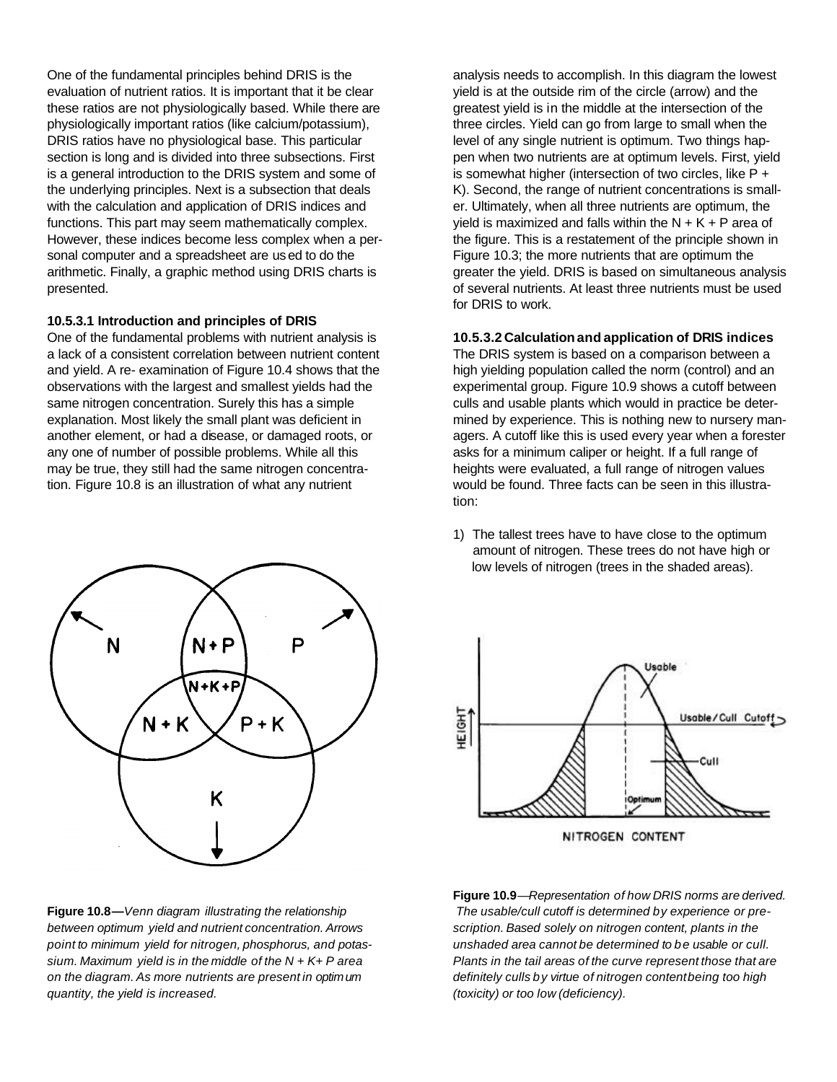One of the fundamental principles behind DRIS is the evaluation of nutrient ratios. It is important that it be clear these ratios are not physiologically based. While there are physiologically important ratios (like calcium/potassium), DRIS ratios have no physiological base. This particular section is long and is divided into three subsections. First is a general introduction to the DRIS system and some of the underlying principles. Next is a subsection that deals with the calculation and application of DRIS indices and functions. This part may seem mathematically complex. However, these indices become less complex when a personal computer and a spreadsheet are used to do the arithmetic. Finally, a graphic method using DRIS charts is presented.

#### **10.5.3.1 Introduction and principles of DRIS**

One of the fundamental problems with nutrient analysis is a lack of a consistent correlation between nutrient content and yield. A re- examination of Figure 10.4 shows that the observations with the largest and smallest yields had the same nitrogen concentration. Surely this has a simple explanation. Most likely the small plant was deficient in another element, or had a disease, or damaged roots, or any one of number of possible problems. While all this may be true, they still had the same nitrogen concentration. Figure 10.8 is an illustration of what any nutrient



**Figure 10.8—***Venn diagram illustrating the relationship between optimum yield and nutrient concentration. Arrows point to minimum yield for nitrogen, phosphorus, and potassium. Maximum yield is in the middle of the N* + *K+ P area on the diagram. As more nutrients are present in optimum quantity, the yield is increased.*

analysis needs to accomplish. In this diagram the lowest yield is at the outside rim of the circle (arrow) and the greatest yield is in the middle at the intersection of the three circles. Yield can go from large to small when the level of any single nutrient is optimum. Two things happen when two nutrients are at optimum levels. First, yield is somewhat higher (intersection of two circles, like P + K). Second, the range of nutrient concentrations is smaller. Ultimately, when all three nutrients are optimum, the yield is maximized and falls within the  $N + K + P$  area of the figure. This is a restatement of the principle shown in Figure 10.3; the more nutrients that are optimum the greater the yield. DRIS is based on simultaneous analysis of several nutrients. At least three nutrients must be used for DRIS to work.

#### **10.5.3.2 Calculationand application of DRIS indices**

The DRIS system is based on a comparison between a high yielding population called the norm (control) and an experimental group. Figure 10.9 shows a cutoff between culls and usable plants which would in practice be determined by experience. This is nothing new to nursery managers. A cutoff like this is used every year when a forester asks for a minimum caliper or height. If a full range of heights were evaluated, a full range of nitrogen values would be found. Three facts can be seen in this illustration:

1) The tallest trees have to have close to the optimum amount of nitrogen. These trees do not have high or low levels of nitrogen (trees in the shaded areas).



**Figure 10.9***—Representation of how DRIS norms are derived. The usable/cull cutoff is determined by experience or prescription. Based solely on nitrogen content, plants in the unshaded area cannot be determined to be usable or cull. Plants in the tail areas of the curve represent those that are definitely culls by virtue of nitrogen contentbeing too high (toxicity) or too low (deficiency).*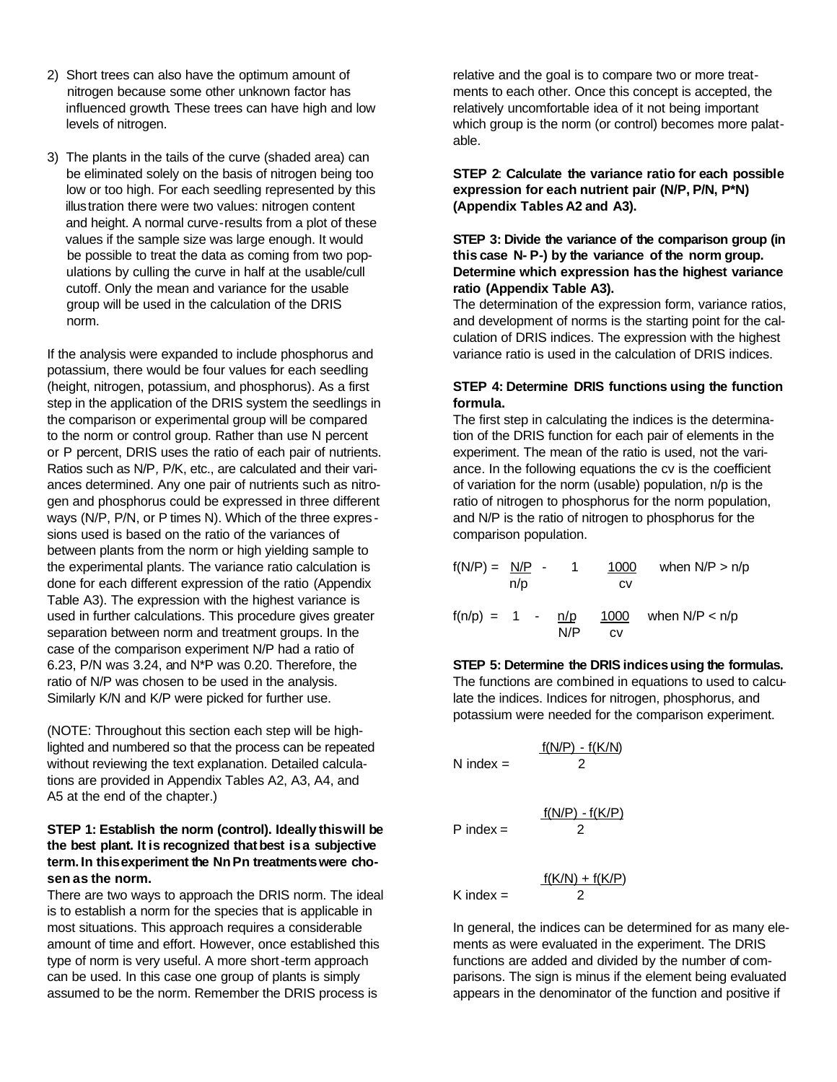- 2) Short trees can also have the optimum amount of nitrogen because some other unknown factor has influenced growth. These trees can have high and low levels of nitrogen.
- 3) The plants in the tails of the curve (shaded area) can be eliminated solely on the basis of nitrogen being too low or too high. For each seedling represented by this illus tration there were two values: nitrogen content and height. A normal curve-results from a plot of these values if the sample size was large enough. It would be possible to treat the data as coming from two pop ulations by culling the curve in half at the usable/cull cutoff. Only the mean and variance for the usable group will be used in the calculation of the DRIS norm.

If the analysis were expanded to include phosphorus and potassium, there would be four values for each seedling (height, nitrogen, potassium, and phosphorus). As a first step in the application of the DRIS system the seedlings in the comparison or experimental group will be compared to the norm or control group. Rather than use N percent or P percent, DRIS uses the ratio of each pair of nutrients. Ratios such as N/P*,* P/K, etc., are calculated and their variances determined. Any one pair of nutrients such as nitrogen and phosphorus could be expressed in three different ways (N/P, P/N, or P times N). Which of the three expres sions used is based on the ratio of the variances of between plants from the norm or high yielding sample to the experimental plants. The variance ratio calculation is done for each different expression of the ratio (Appendix Table A3). The expression with the highest variance is used in further calculations. This procedure gives greater separation between norm and treatment groups. In the case of the comparison experiment N/P had a ratio of 6.23, P/N was 3.24, and N\*P was 0.20. Therefore, the ratio of N/P was chosen to be used in the analysis. Similarly K/N and K/P were picked for further use.

(NOTE: Throughout this section each step will be highlighted and numbered so that the process can be repeated without reviewing the text explanation. Detailed calculations are provided in Appendix Tables A2, A3, A4, and A5 at the end of the chapter.)

#### **STEP 1: Establish the norm (control). Ideally thiswill be the best plant. It is recognized thatbest isa subjective term. In thisexperiment the NnPn treatmentswere chosen as the norm.**

There are two ways to approach the DRIS norm. The ideal is to establish a norm for the species that is applicable in most situations. This approach requires a considerable amount of time and effort. However, once established this type of norm is very useful. A more short-term approach can be used. In this case one group of plants is simply assumed to be the norm. Remember the DRIS process is

relative and the goal is to compare two or more treatments to each other. Once this concept is accepted, the relatively uncomfortable idea of it not being important which group is the norm (or control) becomes more palatable.

**STEP 2**: **Calculate the variance ratio for each possible expression for each nutrient pair (N/P, P/N, P\*N) (Appendix Tables A2 and A3).**

#### **STEP 3: Divide the variance of the comparison group (in this case N- P-) by the variance of the norm group. Determine which expression has the highest variance ratio (Appendix Table A3).**

The determination of the expression form, variance ratios, and development of norms is the starting point for the calculation of DRIS indices. The expression with the highest variance ratio is used in the calculation of DRIS indices.

#### **STEP 4: Determine DRIS functions using the function formula.**

The first step in calculating the indices is the determination of the DRIS function for each pair of elements in the experiment. The mean of the ratio is used, not the variance. In the following equations the cv is the coefficient of variation for the norm (usable) population, n/p is the ratio of nitrogen to phosphorus for the norm population, and N/P is the ratio of nitrogen to phosphorus for the comparison population.

| $f(N/P) = N/P$ - |     | 1.         | 1000              | when $N/P > n/p$ |
|------------------|-----|------------|-------------------|------------------|
|                  | n/p |            | CV                |                  |
| $f(n/p) = 1 -$   |     | n/p<br>N/P | 1000<br><b>CV</b> | when $N/P < n/p$ |

#### **STEP 5: Determine the DRIS indicesusing the formulas.**

The functions are combined in equations to used to calculate the indices. Indices for nitrogen, phosphorus, and potassium were needed for the comparison experiment.

$$
N \text{ index} = \frac{f(N/P) - f(K/N)}{2}
$$

 $P$  index  $=$ 

 $f(N/P) - f(K/P)$ 

$$
f(K/N) + f(K/P)
$$
  
K index = 2

In general, the indices can be determined for as many elements as were evaluated in the experiment. The DRIS functions are added and divided by the number of comparisons. The sign is minus if the element being evaluated appears in the denominator of the function and positive if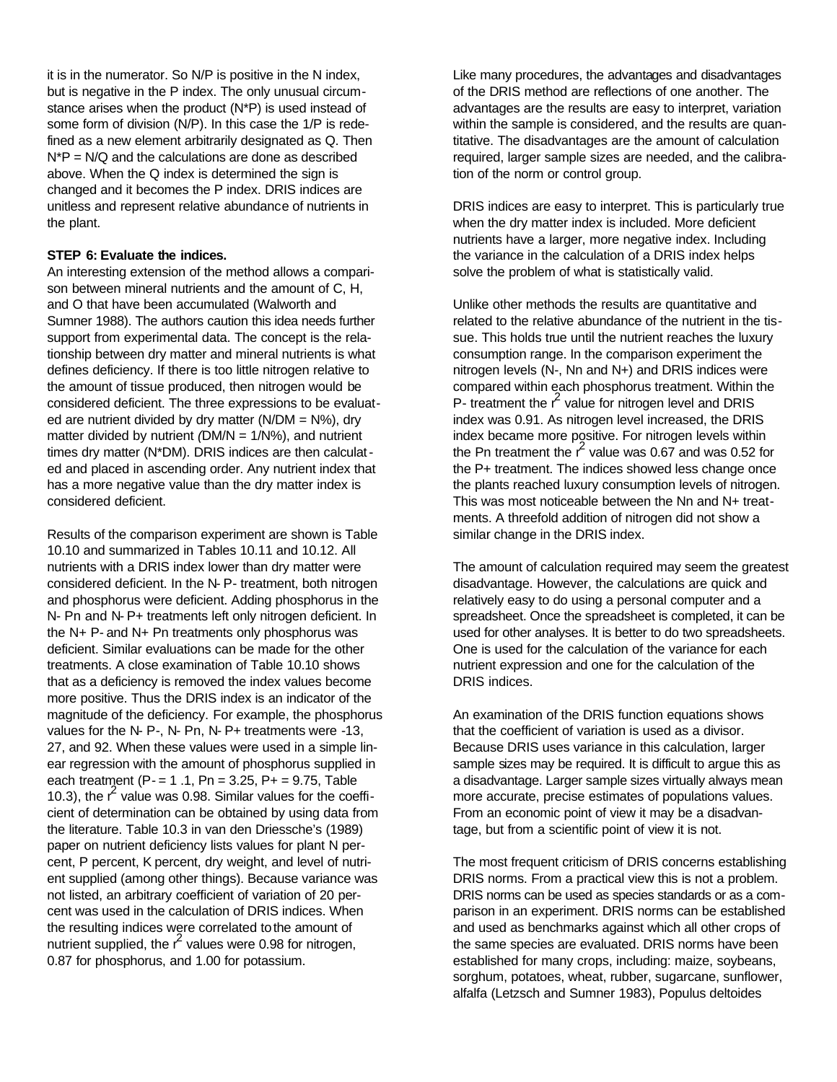it is in the numerator. So N/P is positive in the N index, but is negative in the P index. The only unusual circumstance arises when the product (N\*P) is used instead of some form of division (N/P). In this case the 1/P is redefined as a new element arbitrarily designated as Q. Then N\*P = N/Q and the calculations are done as described above. When the Q index is determined the sign is changed and it becomes the P index. DRIS indices are unitless and represent relative abundance of nutrients in the plant.

#### **STEP 6: Evaluate the indices.**

An interesting extension of the method allows a comparison between mineral nutrients and the amount of C, H, and O that have been accumulated (Walworth and Sumner 1988). The authors caution this idea needs further support from experimental data. The concept is the relationship between dry matter and mineral nutrients is what defines deficiency. If there is too little nitrogen relative to the amount of tissue produced, then nitrogen would be considered deficient. The three expressions to be evaluated are nutrient divided by dry matter ( $N/DM = N\%$ ), dry matter divided by nutrient *(*DM/N = 1/N%), and nutrient times dry matter (N\*DM). DRIS indices are then calculated and placed in ascending order. Any nutrient index that has a more negative value than the dry matter index is considered deficient.

Results of the comparison experiment are shown is Table 10.10 and summarized in Tables 10.11 and 10.12. All nutrients with a DRIS index lower than dry matter were considered deficient. In the N- P- treatment, both nitrogen and phosphorus were deficient. Adding phosphorus in the N- Pn and N- P+ treatments left only nitrogen deficient. In the N+ P- and N+ Pn treatments only phosphorus was deficient. Similar evaluations can be made for the other treatments. A close examination of Table 10.10 shows that as a deficiency is removed the index values become more positive. Thus the DRIS index is an indicator of the magnitude of the deficiency. For example, the phosphorus values for the N- P-, N- Pn, N- P+ treatments were -13, 27, and 92. When these values were used in a simple linear regression with the amount of phosphorus supplied in each treatment ( $P - = 1.1$ ,  $Pn = 3.25$ ,  $P + = 9.75$ , Table 10.3), the  $r^2$  value was 0.98. Similar values for the coefficient of determination can be obtained by using data from the literature. Table 10.3 in van den Driessche's (1989) paper on nutrient deficiency lists values for plant N percent, P percent, K percent, dry weight, and level of nutrient supplied (among other things). Because variance was not listed, an arbitrary coefficient of variation of 20 percent was used in the calculation of DRIS indices. When the resulting indices were correlated to the amount of nutrient supplied, the  $r^2$  values were 0.98 for nitrogen, 0.87 for phosphorus, and 1.00 for potassium.

Like many procedures, the advantages and disadvantages of the DRIS method are reflections of one another. The advantages are the results are easy to interpret, variation within the sample is considered, and the results are quantitative. The disadvantages are the amount of calculation required, larger sample sizes are needed, and the calibration of the norm or control group.

DRIS indices are easy to interpret. This is particularly true when the dry matter index is included. More deficient nutrients have a larger, more negative index. Including the variance in the calculation of a DRIS index helps solve the problem of what is statistically valid.

Unlike other methods the results are quantitative and related to the relative abundance of the nutrient in the tissue. This holds true until the nutrient reaches the luxury consumption range. In the comparison experiment the nitrogen levels (N-, Nn and N+) and DRIS indices were compared within each phosphorus treatment. Within the  $P$ - treatment the  $r^2$  value for nitrogen level and DRIS index was 0.91. As nitrogen level increased, the DRIS index became more positive. For nitrogen levels within the Pn treatment the  $r^2$  value was 0.67 and was 0.52 for the P+ treatment. The indices showed less change once the plants reached luxury consumption levels of nitrogen. This was most noticeable between the Nn and N+ treatments. A threefold addition of nitrogen did not show a similar change in the DRIS index.

The amount of calculation required may seem the greatest disadvantage. However, the calculations are quick and relatively easy to do using a personal computer and a spreadsheet. Once the spreadsheet is completed, it can be used for other analyses. It is better to do two spreadsheets. One is used for the calculation of the variance for each nutrient expression and one for the calculation of the DRIS indices.

An examination of the DRIS function equations shows that the coefficient of variation is used as a divisor. Because DRIS uses variance in this calculation, larger sample sizes may be required. It is difficult to argue this as a disadvantage. Larger sample sizes virtually always mean more accurate, precise estimates of populations values. From an economic point of view it may be a disadvantage, but from a scientific point of view it is not.

The most frequent criticism of DRIS concerns establishing DRIS norms. From a practical view this is not a problem. DRIS norms can be used as species standards or as a comparison in an experiment. DRIS norms can be established and used as benchmarks against which all other crops of the same species are evaluated. DRIS norms have been established for many crops, including: maize, soybeans, sorghum, potatoes, wheat, rubber, sugarcane, sunflower, alfalfa (Letzsch and Sumner 1983), Populus deltoides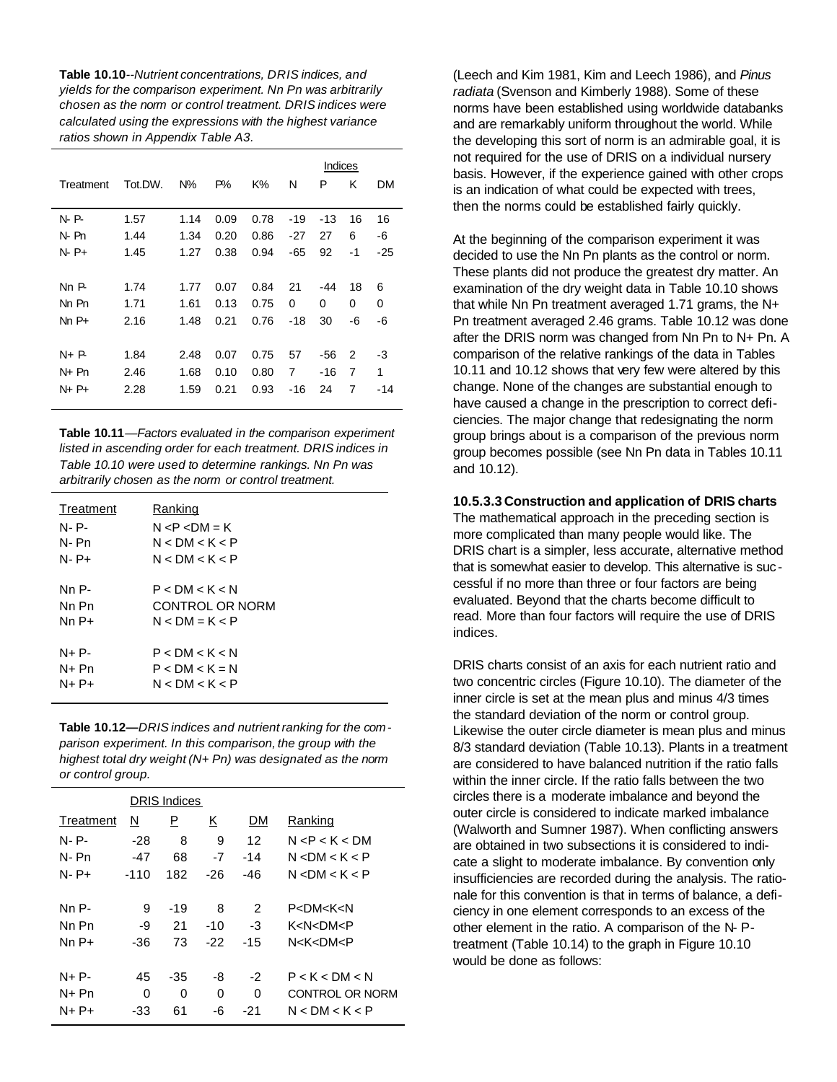**Table 10.10***--Nutrient concentrations, DRIS indices, and yields for the comparison experiment. Nn Pn was arbitrarily chosen as the norm or control treatment. DRIS indices were calculated using the expressions with the highest variance ratios shown in Appendix Table A3.*

|           |         |       |       |      |       | Indices |    |       |
|-----------|---------|-------|-------|------|-------|---------|----|-------|
| Treatment | Tot.DW. | $N\%$ | $P\%$ | K%   | N     | P       | κ  | DМ    |
|           |         |       |       |      |       |         |    |       |
| N P       | 1.57    | 1.14  | 0.09  | 0.78 | $-19$ | -13     | 16 | 16    |
| N- Pn     | 1.44    | 1.34  | 0.20  | 0.86 | -27   | 27      | 6  | -6    |
| N-P+      | 1.45    | 1.27  | 0.38  | 0.94 | -65   | 92      | -1 | -25   |
|           |         |       |       |      |       |         |    |       |
| NnP       | 1.74    | 1.77  | 0.07  | 0.84 | 21    | -44     | 18 | 6     |
| Nn Pn     | 1.71    | 1.61  | 0.13  | 0.75 | 0     | 0       | 0  | 0     |
| $NnP+$    | 2.16    | 1.48  | 0.21  | 0.76 | $-18$ | 30      | -6 | -6    |
|           |         |       |       |      |       |         |    |       |
| $N + P$   | 1.84    | 2.48  | 0.07  | 0.75 | 57    | -56     | 2  | -3    |
| N+ Pn     | 2.46    | 1.68  | 0.10  | 0.80 | 7     | -16     | 7  | 1     |
| N+ P+     | 2.28    | 1.59  | 0.21  | 0.93 | $-16$ | 24      | 7  | $-14$ |
|           |         |       |       |      |       |         |    |       |

**Table 10.11***—Factors evaluated in the comparison experiment listed in ascending order for each treatment. DRIS indices in Table 10.10 were used to determine rankings. Nn Pn was arbitrarily chosen as the norm or control treatment.*

| Treatment | Ranking          |
|-----------|------------------|
| N- P-     | $N < P < DM = K$ |
| N-Pn      | N < DM < K < P   |
| $N - P +$ | N < DM < K < P   |
| Nn P-     | P < DM < K < N   |
| Nn Pn     | CONTROL OR NORM  |
| $NnP+$    | $N < DM = K < P$ |
| $N+P-$    | P < DM < K < N   |
| N+ Pn     | $P < DM < K = N$ |
| $N+P+$    | N < DM < K < P   |

**Table 10.12—***DRIS indices and nutrient ranking for the comparison experiment. In this comparison, the group with the highest total dry weight (N+ Pn) was designated as the norm or control group.*

|           |        | <b>DRIS Indices</b> |     |       |                             |
|-----------|--------|---------------------|-----|-------|-----------------------------|
| Treatment | N      | Ρ                   | Κ   | DΜ    | Ranking                     |
| N- P-     | $-28$  | 8                   | 9   | 12    | N < P < K < DM              |
| N- Pn     | -47    | 68                  | -7  | $-14$ | N < DM < K < P              |
| $N - P +$ | $-110$ | 182                 | -26 | -46   | N < DM < K < P              |
|           |        |                     |     |       |                             |
| Nn P-     | 9      | $-19$               | 8   | 2     | P <dm<k<n< td=""></dm<k<n<> |
| Nn Pn     | -9     | 21                  | -10 | -3    | K <n<dm<p< td=""></n<dm<p<> |
| Nn P+     | -36    | 73                  | -22 | $-15$ | N <k<dm<p< td=""></k<dm<p<> |
|           |        |                     |     |       |                             |
| $N+P-$    | 45     | -35                 | -8  | $-2$  | P < K < DM < N              |
| N+ Pn     | 0      | 0                   | 0   | 0     | CONTROL OR NORM             |
| $N+P+$    | -33    | 61                  | -6  | -21   | N < DM < K < P              |
|           |        |                     |     |       |                             |

(Leech and Kim 1981, Kim and Leech 1986), and *Pinus radiata* (Svenson and Kimberly 1988). Some of these norms have been established using worldwide databanks and are remarkably uniform throughout the world. While the developing this sort of norm is an admirable goal, it is not required for the use of DRIS on a individual nursery basis. However, if the experience gained with other crops is an indication of what could be expected with trees, then the norms could be established fairly quickly.

At the beginning of the comparison experiment it was decided to use the Nn Pn plants as the control or norm. These plants did not produce the greatest dry matter. An examination of the dry weight data in Table 10.10 shows that while Nn Pn treatment averaged 1.71 grams, the N+ Pn treatment averaged 2.46 grams. Table 10.12 was done after the DRIS norm was changed from Nn Pn to N+ Pn. A comparison of the relative rankings of the data in Tables 10.11 and 10.12 shows that very few were altered by this change. None of the changes are substantial enough to have caused a change in the prescription to correct deficiencies. The major change that redesignating the norm group brings about is a comparison of the previous norm group becomes possible (see Nn Pn data in Tables 10.11 and 10.12).

#### **10.5.3.3 Construction and application of DRIS charts**

The mathematical approach in the preceding section is more complicated than many people would like. The DRIS chart is a simpler, less accurate, alternative method that is somewhat easier to develop. This alternative is suc cessful if no more than three or four factors are being evaluated. Beyond that the charts become difficult to read. More than four factors will require the use of DRIS indices.

DRIS charts consist of an axis for each nutrient ratio and two concentric circles (Figure 10.10). The diameter of the inner circle is set at the mean plus and minus 4/3 times the standard deviation of the norm or control group. Likewise the outer circle diameter is mean plus and minus 8/3 standard deviation (Table 10.13). Plants in a treatment are considered to have balanced nutrition if the ratio falls within the inner circle. If the ratio falls between the two circles there is a moderate imbalance and beyond the outer circle is considered to indicate marked imbalance (Walworth and Sumner 1987). When conflicting answers are obtained in two subsections it is considered to indicate a slight to moderate imbalance. By convention only insufficiencies are recorded during the analysis. The rationale for this convention is that in terms of balance, a deficiency in one element corresponds to an excess of the other element in the ratio. A comparison of the N- Ptreatment (Table 10.14) to the graph in Figure 10.10 would be done as follows: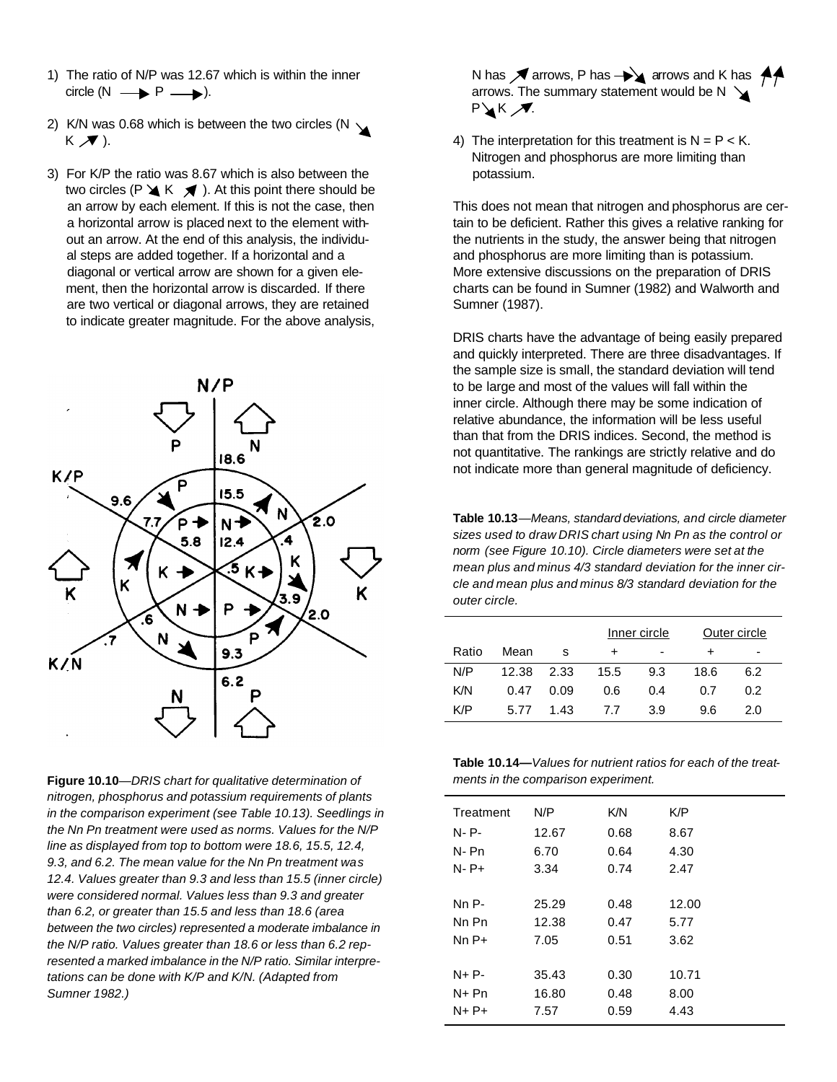- 1) The ratio of N/P was 12.67 which is within the inner  $circle(N \rightarrow P \rightarrow P).$
- 2) K/N was 0.68 which is between the two circles (N  $\searrow$  $K \nearrow$ ).
- 3) For K/P the ratio was 8.67 which is also between the two circles (P  $\triangleleft K$   $\triangleleft$  ). At this point there should be an arrow by each element. If this is not the case, then a horizontal arrow is placed next to the element with out an arrow. At the end of this analysis, the individu al steps are added together. If a horizontal and a diagonal or vertical arrow are shown for a given ele ment, then the horizontal arrow is discarded. If there are two vertical or diagonal arrows, they are retained to indicate greater magnitude. For the above analysis,



**Figure 10.10**—*DRIS chart for qualitative determination of nitrogen, phosphorus and potassium requirements of plants in the comparison experiment (see Table 10.13). Seedlings in the Nn Pn treatment were used as norms. Values for the N/P line as displayed from top to bottom were 18.6, 15.5, 12.4, 9.3, and 6.2. The mean value for the Nn Pn treatment was 12.4. Values greater than 9.3 and less than 15.5 (inner circle) were considered normal. Values less than 9.3 and greater than 6.2, or greater than 15.5 and less than 18.6 (area between the two circles) represented a moderate imbalance in the N/P ratio. Values greater than 18.6 or less than 6.2 represented a marked imbalance in the N/P ratio. Similar interpretations can be done with K/P and K/N. (Adapted from Sumner 1982.)*

N has  $\sqrt{\ }$  arrows, P has  $\rightarrow \sqrt{\ }$  arrows and K has  $\sqrt{\ }$ arrows. The summary statement would be  $N \searrow$ **P** K **A**.

4) The interpretation for this treatment is  $N = P < K$ . Nitrogen and phosphorus are more limiting than potassium.

This does not mean that nitrogen and phosphorus are certain to be deficient. Rather this gives a relative ranking for the nutrients in the study, the answer being that nitrogen and phosphorus are more limiting than is potassium. More extensive discussions on the preparation of DRIS charts can be found in Sumner (1982) and Walworth and Sumner (1987).

DRIS charts have the advantage of being easily prepared and quickly interpreted. There are three disadvantages. If the sample size is small, the standard deviation will tend to be large and most of the values will fall within the inner circle. Although there may be some indication of relative abundance, the information will be less useful than that from the DRIS indices. Second, the method is not quantitative. The rankings are strictly relative and do not indicate more than general magnitude of deficiency.

**Table 10.13***—Means, standard deviations, and circle diameter sizes used to draw DRIS chart using Nn Pn as the control or norm (see Figure 10.10). Circle diameters were set at the mean plus and minus 4/3 standard deviation for the inner circle and mean plus and minus 8/3 standard deviation for the outer circle.*

|       |       |      |      | Inner circle |      | Outer circle |
|-------|-------|------|------|--------------|------|--------------|
| Ratio | Mean  | -S   | ٠    | ۰            |      | ۰            |
| N/P   | 12.38 | 2.33 | 15.5 | 9.3          | 18.6 | 6.2          |
| K/N   | 0.47  | 0.09 | 0.6  | 0.4          | 0.7  | 0.2          |
| K/P   | 5.77  | 1.43 | 77   | 3.9          | 9.6  | 2.0          |

**Table 10.14—***Values for nutrient ratios for each of the treatments in the comparison experiment.*

| Treatment | N/P   | K/N  | K/P   |
|-----------|-------|------|-------|
| N-P-      | 12.67 | 0.68 | 8.67  |
| N-Pn      | 6.70  | 0.64 | 4.30  |
| N-P+      | 3.34  | 0.74 | 2.47  |
|           |       |      |       |
| Nn P-     | 25.29 | 0.48 | 12.00 |
| Nn Pn     | 12.38 | 0.47 | 5.77  |
| Nn P+     | 7.05  | 0.51 | 3.62  |
|           |       |      |       |
| N+ P-     | 35.43 | 0.30 | 10.71 |
| N+ Pn     | 16.80 | 0.48 | 8.00  |
| N+ P+     | 7.57  | 0.59 | 4.43  |
|           |       |      |       |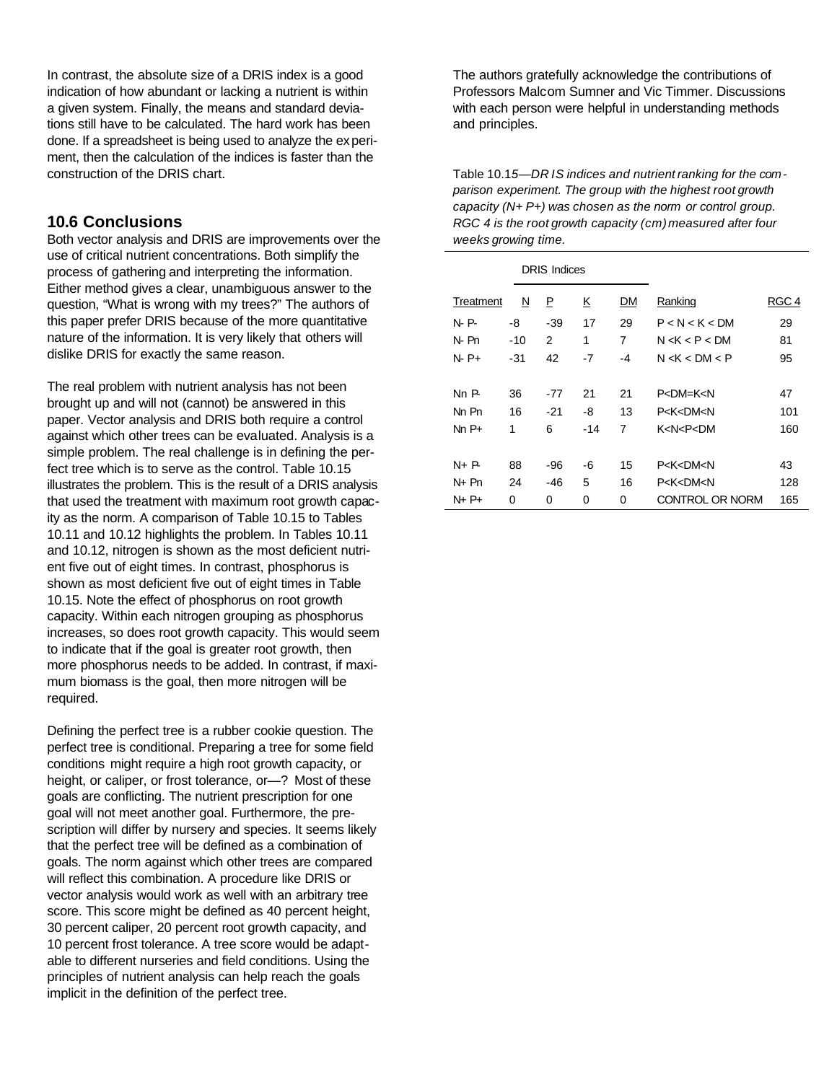In contrast, the absolute size of a DRIS index is a good indication of how abundant or lacking a nutrient is within a given system. Finally, the means and standard deviations still have to be calculated. The hard work has been done. If a spreadsheet is being used to analyze the experiment, then the calculation of the indices is faster than the construction of the DRIS chart.

### **10.6 Conclusions**

Both vector analysis and DRIS are improvements over the use of critical nutrient concentrations. Both simplify the process of gathering and interpreting the information. Either method gives a clear, unambiguous answer to the question, "What is wrong with my trees?" The authors of this paper prefer DRIS because of the more quantitative nature of the information. It is very likely that others will dislike DRIS for exactly the same reason.

The real problem with nutrient analysis has not been brought up and will not (cannot) be answered in this paper. Vector analysis and DRIS both require a control against which other trees can be evaluated. Analysis is a simple problem. The real challenge is in defining the perfect tree which is to serve as the control. Table 10.15 illustrates the problem. This is the result of a DRIS analysis that used the treatment with maximum root growth capacity as the norm. A comparison of Table 10.15 to Tables 10.11 and 10.12 highlights the problem. In Tables 10.11 and 10.12, nitrogen is shown as the most deficient nutrient five out of eight times. In contrast, phosphorus is shown as most deficient five out of eight times in Table 10.15. Note the effect of phosphorus on root growth capacity. Within each nitrogen grouping as phosphorus increases, so does root growth capacity. This would seem to indicate that if the goal is greater root growth, then more phosphorus needs to be added. In contrast, if maximum biomass is the goal, then more nitrogen will be required.

Defining the perfect tree is a rubber cookie question. The perfect tree is conditional. Preparing a tree for some field conditions might require a high root growth capacity, or height, or caliper, or frost tolerance, or—? Most of these goals are conflicting. The nutrient prescription for one goal will not meet another goal. Furthermore, the prescription will differ by nursery and species. It seems likely that the perfect tree will be defined as a combination of goals. The norm against which other trees are compared will reflect this combination. A procedure like DRIS or vector analysis would work as well with an arbitrary tree score. This score might be defined as 40 percent height, 30 percent caliper, 20 percent root growth capacity, and 10 percent frost tolerance. A tree score would be adaptable to different nurseries and field conditions. Using the principles of nutrient analysis can help reach the goals implicit in the definition of the perfect tree.

The authors gratefully acknowledge the contributions of Professors Malcom Sumner and Vic Timmer. Discussions with each person were helpful in understanding methods and principles.

Table 10.1*5—DR IS indices and nutrient ranking for the comparison experiment. The group with the highest root growth capacity (N+ P+) was chosen as the norm or control group. RGC 4 is the root growth capacity (cm)measured after four weeks growing time.*

| <b>DRIS Indices</b> |                         |       |          |    |                                         |       |
|---------------------|-------------------------|-------|----------|----|-----------------------------------------|-------|
| Treatment           | $\overline{\mathsf{M}}$ | P     | <u>K</u> | DM | Ranking                                 | RGC 4 |
| N P                 | -8                      | $-39$ | 17       | 29 | P < N < K < DM                          | 29    |
| N Pn                | $-10$                   | 2     | 1        | 7  | N < K < P < DM                          | 81    |
| N-P+                | $-31$                   | 42    | $-7$     | -4 | N < K < DM < P                          | 95    |
|                     |                         |       |          |    |                                         |       |
| NnP                 | 36                      | $-77$ | 21       | 21 | P < DMLK < N                            | 47    |
| Nn Pn               | 16                      | $-21$ | -8       | 13 | P <k<dm<n< td=""><td>101</td></k<dm<n<> | 101   |
| $NnP+$              | 1                       | 6     | $-14$    | 7  | K <n<p<dm< td=""><td>160</td></n<p<dm<> | 160   |
|                     |                         |       |          |    |                                         |       |
| $N + P$             | 88                      | -96   | -6       | 15 | P <k<dm<n< td=""><td>43</td></k<dm<n<>  | 43    |
| N+ Pn               | 24                      | $-46$ | 5        | 16 | P <k<dm<n< td=""><td>128</td></k<dm<n<> | 128   |
| N+ P+               | 0                       | 0     | 0        | 0  | CONTROL OR NORM                         | 165   |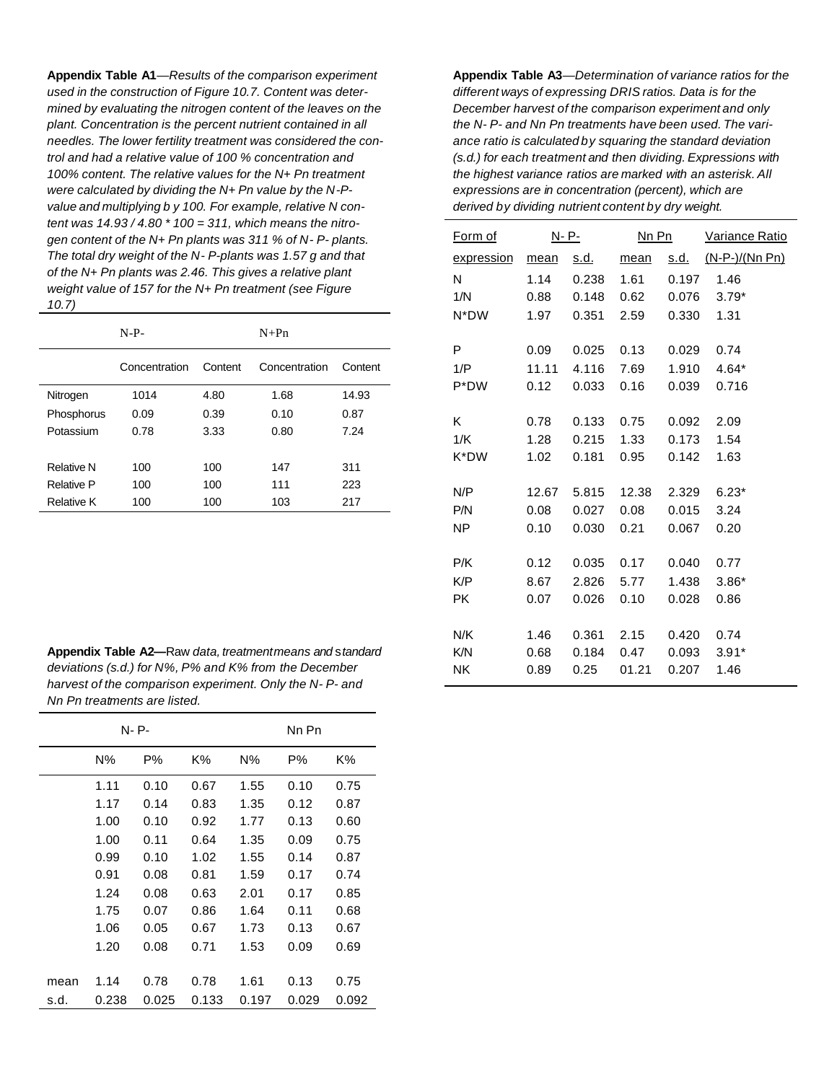**Appendix Table A1**—*Results of the comparison experiment used in the construction of Figure 10.7. Content was determined by evaluating the nitrogen content of the leaves on the plant. Concentration is the percent nutrient contained in all needles. The lower fertility treatment was considered the control and had a relative value of 100 % concentration and 100% content. The relative values for the N+ Pn treatment were calculated by dividing the N+ Pn value by the N-Pvalue and multiplying b y 100. For example, relative N content was 14.93 / 4.80 \* 100 = 311, which means the nitrogen content of the N+ Pn plants was 311 % of N- P- plants. The total dry weight of the N- P-plants was 1.57 g and that of the N+ Pn plants was 2.46. This gives a relative plant weight value of 157 for the N+ Pn treatment (see Figure 10.7)*

|                   | $N-P-$        |         | $N+Pn$        |         |
|-------------------|---------------|---------|---------------|---------|
|                   | Concentration | Content | Concentration | Content |
| Nitrogen          | 1014          | 4.80    | 1.68          | 14.93   |
| Phosphorus        | 0.09          | 0.39    | 0.10          | 0.87    |
| Potassium         | 0.78          | 3.33    | 0.80          | 7.24    |
|                   |               |         |               |         |
| Relative N        | 100           | 100     | 147           | 311     |
| Relative P        | 100           | 100     | 111           | 223     |
| <b>Relative K</b> | 100           | 100     | 103           | 217     |

**Appendix Table A2—**Raw *data, treatmentmeans and* s*tandard deviations (s.d.) for N%, P% and K% from the December harvest of the comparison experiment. Only the N- P- and Nn Pn treatments are listed.*

| N- P- |       |       |       | Nn Pn |       |       |
|-------|-------|-------|-------|-------|-------|-------|
|       | $N\%$ | P%    | K%    | $N\%$ | Р%    | K%    |
|       | 1.11  | 0.10  | 0.67  | 1.55  | 0.10  | 0.75  |
|       | 1.17  | 0.14  | 0.83  | 1.35  | 0.12  | 0.87  |
|       | 1.00  | 0.10  | 0.92  | 1.77  | 0.13  | 0.60  |
|       | 1.00  | 0.11  | 0.64  | 1.35  | 0.09  | 0.75  |
|       | 0.99  | 0.10  | 1.02  | 1.55  | 0.14  | 0.87  |
|       | 0.91  | 0.08  | 0.81  | 1.59  | 0.17  | 0.74  |
|       | 1.24  | 0.08  | 0.63  | 2.01  | 0.17  | 0.85  |
|       | 1.75  | 0.07  | 0.86  | 1.64  | 0.11  | 0.68  |
|       | 1.06  | 0.05  | 0.67  | 1.73  | 0.13  | 0.67  |
|       | 1.20  | 0.08  | 0.71  | 1.53  | 0.09  | 0.69  |
|       |       |       |       |       |       |       |
| mean  | 1.14  | 0.78  | 0.78  | 1.61  | 0.13  | 0.75  |
| s.d.  | 0.238 | 0.025 | 0.133 | 0.197 | 0.029 | 0.092 |

**Appendix Table A3***—Determination of variance ratios for the different ways of expressing DRIS ratios. Data is for the December harvest of the comparison experiment and only the N- P- and Nn Pn treatments have been used. The variance ratio is calculated by squaring the standard deviation (s.d.) for each treatment and then dividing. Expressions with the highest variance ratios are marked with an asterisk. All expressions are in concentration (percent), which are derived by dividing nutrient content by dry weight.*

| <u>Form of</u> | N- P- |             | Nn Pn |             | Variance Ratio |
|----------------|-------|-------------|-------|-------------|----------------|
| expression     | mean  | <u>s.d.</u> | mean  | <u>s.d.</u> | (N-P-)/(Nn Pn) |
| N              | 1.14  | 0.238       | 1.61  | 0.197       | 1.46           |
| 1/N            | 0.88  | 0.148       | 0.62  | 0.076       | $3.79*$        |
| N*DW           | 1.97  | 0.351       | 2.59  | 0.330       | 1.31           |
|                |       |             |       |             |                |
| P              | 0.09  | 0.025       | 0.13  | 0.029       | 0.74           |
| 1/P            | 11.11 | 4.116       | 7.69  | 1.910       | $4.64*$        |
| P*DW           | 0.12  | 0.033       | 0.16  | 0.039       | 0.716          |
|                |       |             |       |             |                |
| K              | 0.78  | 0.133       | 0.75  | 0.092       | 2.09           |
| 1/K            | 1.28  | 0.215       | 1.33  | 0.173       | 1.54           |
| K*DW           | 1.02  | 0.181       | 0.95  | 0.142       | 1.63           |
|                |       |             |       |             |                |
| N/P            | 12.67 | 5.815       | 12.38 | 2.329       | $6.23*$        |
| P/N            | 0.08  | 0.027       | 0.08  | 0.015       | 3.24           |
| NP             | 0.10  | 0.030       | 0.21  | 0.067       | 0.20           |
|                |       |             |       |             |                |
| P/K            | 0.12  | 0.035       | 0.17  | 0.040       | 0.77           |
| K/P            | 8.67  | 2.826       | 5.77  | 1.438       | $3.86*$        |
| <b>PK</b>      | 0.07  | 0.026       | 0.10  | 0.028       | 0.86           |
|                |       |             |       |             |                |
| N/K            | 1.46  | 0.361       | 2.15  | 0.420       | 0.74           |
| K/N            | 0.68  | 0.184       | 0.47  | 0.093       | $3.91*$        |
| <b>NK</b>      | 0.89  | 0.25        | 01.21 | 0.207       | 1.46           |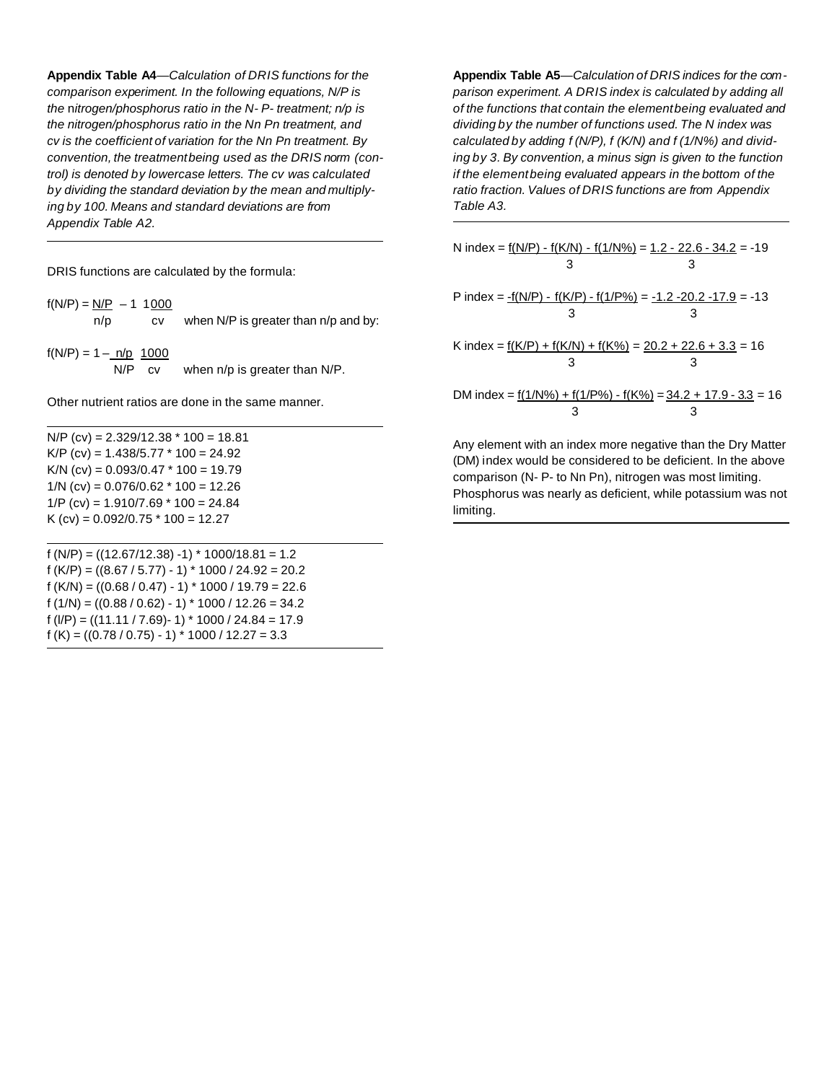**Appendix Table A4***—Calculation of DRIS functions for the comparison experiment. In the following equations, N/P is the* n*itrogen/phosphorus ratio in the N- P- treatment; n/p is the nitrogen/phosphorus ratio in the Nn Pn treatment, and cv is the coefficient of variation for the Nn Pn treatment. By convention, the treatmentbeing used as the DRIS norm (control) is denoted by lowercase letters. The cv was calculated by dividing the standard deviation by the mean and multiplying by 100. Means and standard deviations are from Appendix Table A2.*

DRIS functions are calculated by the formula:

| $f(N/P) = N/P - 1 1000$         |           |                                      |
|---------------------------------|-----------|--------------------------------------|
| n/p                             | CV.       | when N/P is greater than n/p and by: |
|                                 |           |                                      |
| $f(N/P) = 1 - \frac{n}{p} 1000$ |           |                                      |
| N/P                             | <b>CV</b> | when n/p is greater than N/P.        |

Other nutrient ratios are done in the same manner.

 $N/P$  (cv) = 2.329/12.38  $*$  100 = 18.81 K/P (cv) =  $1.438/5.77 * 100 = 24.92$ K/N (cv) =  $0.093/0.47 * 100 = 19.79$  $1/N$  (cv) = 0.076/0.62  $*$  100 = 12.26  $1/P$  (cv) = 1.910/7.69  $*$  100 = 24.84 K (cv) =  $0.092/0.75$  \*  $100 = 12.27$ 

f (N/P) = ((12.67/12.38) -1) \* 1000/18.81 = 1.2 f (K/P) = ((8.67 / 5.77) - 1) \* 1000 / 24.92 = 20.2 f (K/N) = ((0.68 / 0.47) - 1) \* 1000 / 19.79 = 22.6 f  $(1/N) = ((0.88 / 0.62) - 1) * 1000 / 12.26 = 34.2$ f (l/P) = ((11.11 / 7.69)- 1) \* 1000 / 24.84 = 17.9 f (K) =  $((0.78 / 0.75) - 1) * 1000 / 12.27 = 3.3$ 

**Appendix Table A5***—Calculation of DRIS indices for the comparison experiment. A DRIS index is calculated by adding all of the functions that contain the elementbeing evaluated and dividing by the number of functions used. The N index was calculated by adding f (N/P), f (K/N) and f (1/N%) and dividing by 3. By convention, a minus sign is given to the function if the elementbeing evaluated appears in the bottom of the ratio fraction. Values of DRIS functions are from Appendix Table A3.*

| DM index = $\frac{f(1/N\%) + f(1/P\%) - f(K\%)}{=}$ 34.2 + 17.9 - 3.3 = 16 |
|----------------------------------------------------------------------------|
|                                                                            |
|                                                                            |
|                                                                            |

Any element with an index more negative than the Dry Matter (DM) index would be considered to be deficient. In the above comparison (N- P- to Nn Pn), nitrogen was most limiting. Phosphorus was nearly as deficient, while potassium was not limiting.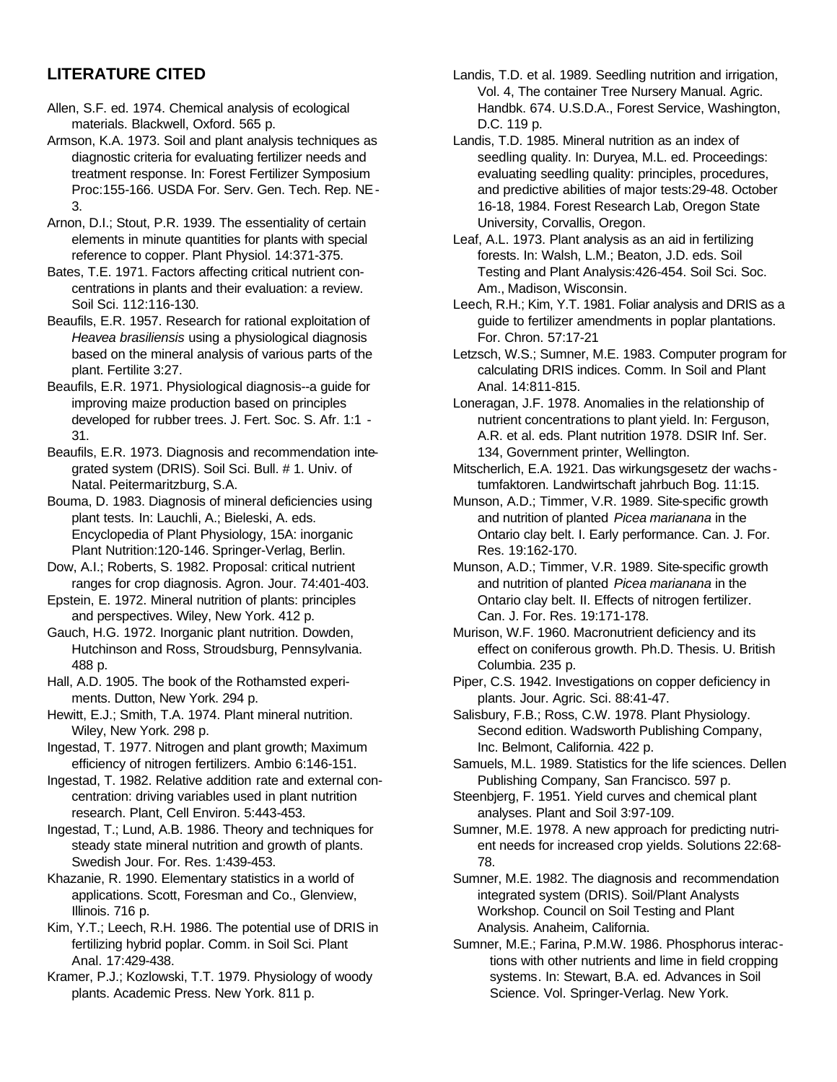## **LITERATURE CITED**

- Allen, S.F. ed. 1974. Chemical analysis of ecological materials. Blackwell, Oxford. 565 p.
- Armson, K.A. 1973. Soil and plant analysis techniques as diagnostic criteria for evaluating fertilizer needs and treatment response. In: Forest Fertilizer Symposium Proc:155-166. USDA For. Serv. Gen. Tech. Rep. NE-3.
- Arnon, D.I.; Stout, P.R. 1939. The essentiality of certain elements in minute quantities for plants with special reference to copper. Plant Physiol. 14:371-375.
- Bates, T.E. 1971. Factors affecting critical nutrient concentrations in plants and their evaluation: a review. Soil Sci. 112:116-130.
- Beaufils, E.R. 1957. Research for rational exploitation of *Heavea brasiliensis* using a physiological diagnosis based on the mineral analysis of various parts of the plant. Fertilite 3:27.
- Beaufils, E.R. 1971. Physiological diagnosis--a guide for improving maize production based on principles developed for rubber trees. J. Fert. Soc. S. Afr. 1:1 - 31.
- Beaufils, E.R. 1973. Diagnosis and recommendation integrated system (DRIS). Soil Sci. Bull. # 1. Univ. of Natal. Peitermaritzburg, S.A.
- Bouma, D. 1983. Diagnosis of mineral deficiencies using plant tests. In: Lauchli, A.; Bieleski, A. eds. Encyclopedia of Plant Physiology, 15A: inorganic Plant Nutrition:120-146. Springer-Verlag, Berlin.
- Dow, A.I.; Roberts, S. 1982. Proposal: critical nutrient ranges for crop diagnosis. Agron. Jour. 74:401-403.
- Epstein, E. 1972. Mineral nutrition of plants: principles and perspectives. Wiley, New York. 412 p.
- Gauch, H.G. 1972. Inorganic plant nutrition. Dowden, Hutchinson and Ross, Stroudsburg, Pennsylvania. 488 p.
- Hall, A.D. 1905. The book of the Rothamsted experiments. Dutton, New York. 294 p.
- Hewitt, E.J.; Smith, T.A. 1974. Plant mineral nutrition. Wiley, New York. 298 p.
- Ingestad, T. 1977. Nitrogen and plant growth; Maximum efficiency of nitrogen fertilizers. Ambio 6:146-151.
- Ingestad, T. 1982. Relative addition rate and external concentration: driving variables used in plant nutrition research. Plant, Cell Environ. 5:443-453.
- Ingestad, T.; Lund, A.B. 1986. Theory and techniques for steady state mineral nutrition and growth of plants. Swedish Jour. For. Res. 1:439-453.
- Khazanie, R. 1990. Elementary statistics in a world of applications. Scott, Foresman and Co., Glenview, Illinois. 716 p.
- Kim, Y.T.; Leech, R.H. 1986. The potential use of DRIS in fertilizing hybrid poplar. Comm. in Soil Sci. Plant Anal. 17:429-438.
- Kramer, P.J.; Kozlowski, T.T. 1979. Physiology of woody plants. Academic Press. New York. 811 p.
- Landis, T.D. et al. 1989. Seedling nutrition and irrigation, Vol. 4, The container Tree Nursery Manual. Agric. Handbk. 674. U.S.D.A., Forest Service, Washington, D.C. 119 p.
- Landis, T.D. 1985. Mineral nutrition as an index of seedling quality. In: Duryea, M.L. ed. Proceedings: evaluating seedling quality: principles, procedures, and predictive abilities of major tests:29-48. October 16-18, 1984. Forest Research Lab, Oregon State University, Corvallis, Oregon.
- Leaf, A.L. 1973. Plant analysis as an aid in fertilizing forests. In: Walsh, L.M.; Beaton, J.D. eds. Soil Testing and Plant Analysis:426-454. Soil Sci. Soc. Am., Madison, Wisconsin.
- Leech, R.H.; Kim, Y.T. 1981. Foliar analysis and DRIS as a guide to fertilizer amendments in poplar plantations. For. Chron. 57:17-21
- Letzsch, W.S.; Sumner, M.E. 1983. Computer program for calculating DRIS indices. Comm. In Soil and Plant Anal. 14:811-815.
- Loneragan, J.F. 1978. Anomalies in the relationship of nutrient concentrations to plant yield. In: Ferguson, A.R. et al. eds. Plant nutrition 1978. DSIR Inf. Ser. 134, Government printer, Wellington.
- Mitscherlich, E.A. 1921. Das wirkungsgesetz der wachs tumfaktoren. Landwirtschaft jahrbuch Bog. 11:15.
- Munson, A.D.; Timmer, V.R. 1989. Site-specific growth and nutrition of planted *Picea marianana* in the Ontario clay belt. I. Early performance. Can. J. For. Res. 19:162-170.
- Munson, A.D.; Timmer, V.R. 1989. Site-specific growth and nutrition of planted *Picea marianana* in the Ontario clay belt. II. Effects of nitrogen fertilizer. Can. J. For. Res. 19:171-178.
- Murison, W.F. 1960. Macronutrient deficiency and its effect on coniferous growth. Ph.D. Thesis. U. British Columbia. 235 p.
- Piper, C.S. 1942. Investigations on copper deficiency in plants. Jour. Agric. Sci. 88:41-47.
- Salisbury, F.B.; Ross, C.W. 1978. Plant Physiology. Second edition. Wadsworth Publishing Company, Inc. Belmont, California. 422 p.
- Samuels, M.L. 1989. Statistics for the life sciences. Dellen Publishing Company, San Francisco. 597 p.
- Steenbjerg, F. 1951. Yield curves and chemical plant analyses. Plant and Soil 3:97-109.
- Sumner, M.E. 1978. A new approach for predicting nutrient needs for increased crop yields. Solutions 22:68- 78.
- Sumner, M.E. 1982. The diagnosis and recommendation integrated system (DRIS). Soil/Plant Analysts Workshop. Council on Soil Testing and Plant Analysis. Anaheim, California.
- Sumner, M.E.; Farina, P.M.W. 1986. Phosphorus interactions with other nutrients and lime in field cropping systems. In: Stewart, B.A. ed. Advances in Soil Science. Vol. Springer-Verlag. New York.